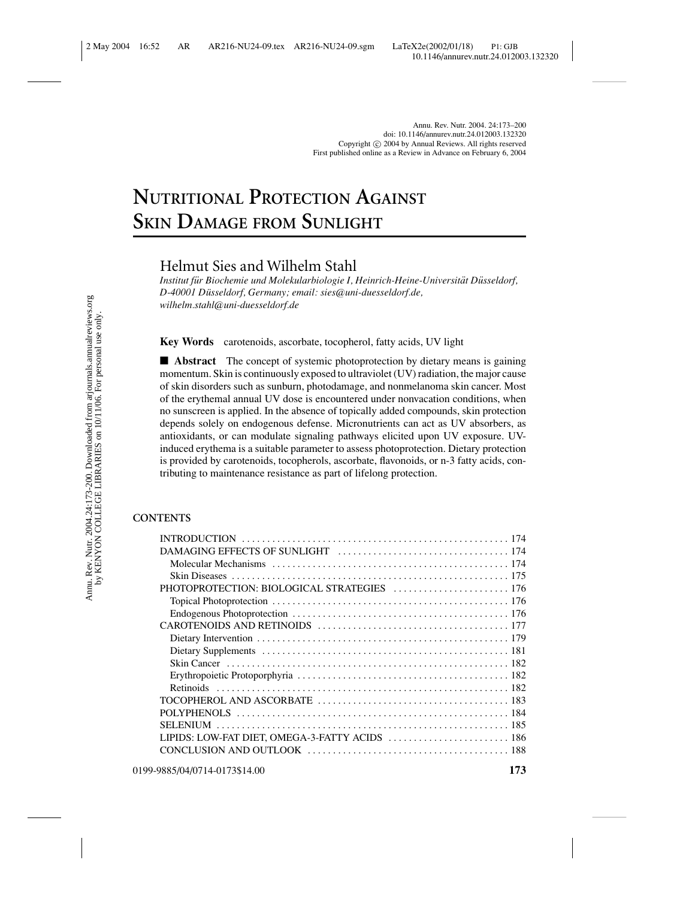# **NUTRITIONAL PROTECTION AGAINST SKIN DAMAGE FROM SUNLIGHT**

Helmut Sies and Wilhelm Stahl

*Institut für Biochemie und Molekularbiologie I, Heinrich-Heine-Universität Düsseldorf, D-40001 Dusseldorf, Germany; email: sies@uni-duesseldorf.de, ¨ wilhelm.stahl@uni-duesseldorf.de*

**Key Words** carotenoids, ascorbate, tocopherol, fatty acids, UV light

■ **Abstract** The concept of systemic photoprotection by dietary means is gaining momentum. Skin is continuously exposed to ultraviolet (UV) radiation, the major cause of skin disorders such as sunburn, photodamage, and nonmelanoma skin cancer. Most of the erythemal annual UV dose is encountered under nonvacation conditions, when no sunscreen is applied. In the absence of topically added compounds, skin protection depends solely on endogenous defense. Micronutrients can act as UV absorbers, as antioxidants, or can modulate signaling pathways elicited upon UV exposure. UVinduced erythema is a suitable parameter to assess photoprotection. Dietary protection is provided by carotenoids, tocopherols, ascorbate, flavonoids, or n-3 fatty acids, contributing to maintenance resistance as part of lifelong protection.

## **CONTENTS**

| LIPIDS: LOW-FAT DIET, OMEGA-3-FATTY ACIDS  186 |  |
|------------------------------------------------|--|
|                                                |  |
|                                                |  |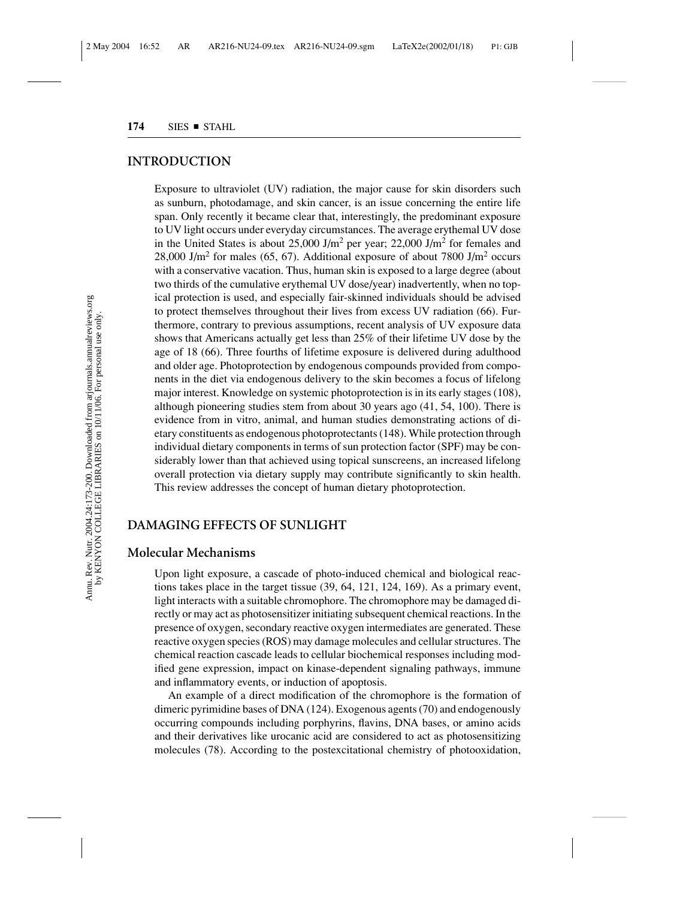## **INTRODUCTION**

Exposure to ultraviolet (UV) radiation, the major cause for skin disorders such as sunburn, photodamage, and skin cancer, is an issue concerning the entire life span. Only recently it became clear that, interestingly, the predominant exposure to UV light occurs under everyday circumstances. The average erythemal UV dose in the United States is about 25,000 J/m<sup>2</sup> per year; 22,000 J/m<sup>2</sup> for females and 28,000 J/m<sup>2</sup> for males (65, 67). Additional exposure of about 7800 J/m<sup>2</sup> occurs with a conservative vacation. Thus, human skin is exposed to a large degree (about two thirds of the cumulative erythemal UV dose/year) inadvertently, when no topical protection is used, and especially fair-skinned individuals should be advised to protect themselves throughout their lives from excess UV radiation (66). Furthermore, contrary to previous assumptions, recent analysis of UV exposure data shows that Americans actually get less than 25% of their lifetime UV dose by the age of 18 (66). Three fourths of lifetime exposure is delivered during adulthood and older age. Photoprotection by endogenous compounds provided from components in the diet via endogenous delivery to the skin becomes a focus of lifelong major interest. Knowledge on systemic photoprotection is in its early stages (108), although pioneering studies stem from about 30 years ago (41, 54, 100). There is evidence from in vitro, animal, and human studies demonstrating actions of dietary constituents as endogenous photoprotectants (148). While protection through individual dietary components in terms of sun protection factor (SPF) may be considerably lower than that achieved using topical sunscreens, an increased lifelong overall protection via dietary supply may contribute significantly to skin health. This review addresses the concept of human dietary photoprotection.

## **DAMAGING EFFECTS OF SUNLIGHT**

#### **Molecular Mechanisms**

Upon light exposure, a cascade of photo-induced chemical and biological reactions takes place in the target tissue (39, 64, 121, 124, 169). As a primary event, light interacts with a suitable chromophore. The chromophore may be damaged directly or may act as photosensitizer initiating subsequent chemical reactions. In the presence of oxygen, secondary reactive oxygen intermediates are generated. These reactive oxygen species (ROS) may damage molecules and cellular structures. The chemical reaction cascade leads to cellular biochemical responses including modified gene expression, impact on kinase-dependent signaling pathways, immune and inflammatory events, or induction of apoptosis.

An example of a direct modification of the chromophore is the formation of dimeric pyrimidine bases of DNA (124). Exogenous agents (70) and endogenously occurring compounds including porphyrins, flavins, DNA bases, or amino acids and their derivatives like urocanic acid are considered to act as photosensitizing molecules (78). According to the postexcitational chemistry of photooxidation,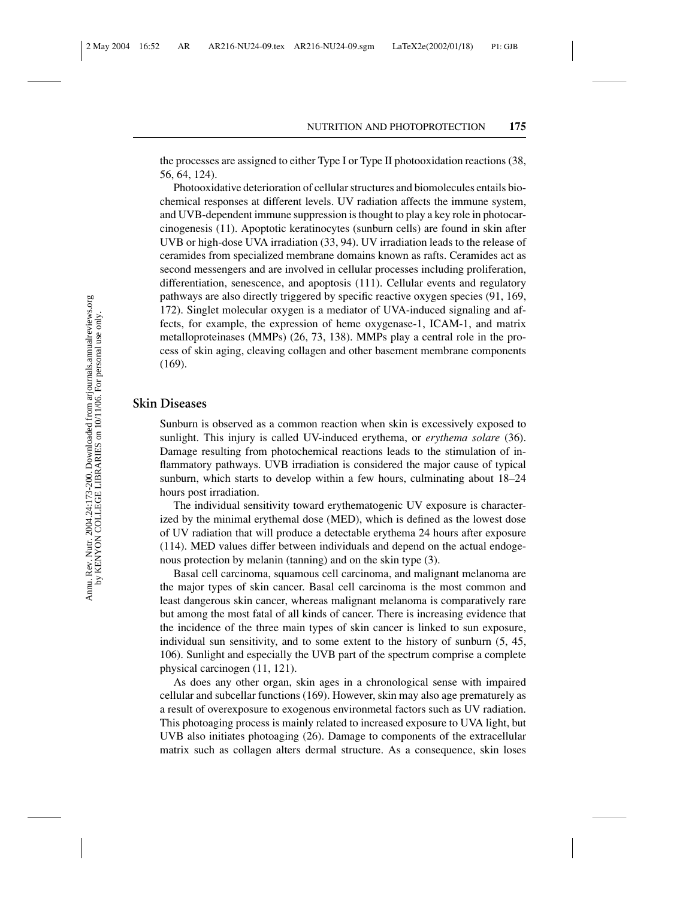the processes are assigned to either Type I or Type II photooxidation reactions (38, 56, 64, 124).

Photooxidative deterioration of cellular structures and biomolecules entails biochemical responses at different levels. UV radiation affects the immune system, and UVB-dependent immune suppression is thought to play a key role in photocarcinogenesis (11). Apoptotic keratinocytes (sunburn cells) are found in skin after UVB or high-dose UVA irradiation (33, 94). UV irradiation leads to the release of ceramides from specialized membrane domains known as rafts. Ceramides act as second messengers and are involved in cellular processes including proliferation, differentiation, senescence, and apoptosis (111). Cellular events and regulatory pathways are also directly triggered by specific reactive oxygen species (91, 169, 172). Singlet molecular oxygen is a mediator of UVA-induced signaling and affects, for example, the expression of heme oxygenase-1, ICAM-1, and matrix metalloproteinases (MMPs) (26, 73, 138). MMPs play a central role in the process of skin aging, cleaving collagen and other basement membrane components (169).

#### **Skin Diseases**

Sunburn is observed as a common reaction when skin is excessively exposed to sunlight. This injury is called UV-induced erythema, or *erythema solare* (36). Damage resulting from photochemical reactions leads to the stimulation of inflammatory pathways. UVB irradiation is considered the major cause of typical sunburn, which starts to develop within a few hours, culminating about 18–24 hours post irradiation.

The individual sensitivity toward erythematogenic UV exposure is characterized by the minimal erythemal dose (MED), which is defined as the lowest dose of UV radiation that will produce a detectable erythema 24 hours after exposure (114). MED values differ between individuals and depend on the actual endogenous protection by melanin (tanning) and on the skin type (3).

Basal cell carcinoma, squamous cell carcinoma, and malignant melanoma are the major types of skin cancer. Basal cell carcinoma is the most common and least dangerous skin cancer, whereas malignant melanoma is comparatively rare but among the most fatal of all kinds of cancer. There is increasing evidence that the incidence of the three main types of skin cancer is linked to sun exposure, individual sun sensitivity, and to some extent to the history of sunburn (5, 45, 106). Sunlight and especially the UVB part of the spectrum comprise a complete physical carcinogen (11, 121).

As does any other organ, skin ages in a chronological sense with impaired cellular and subcellar functions (169). However, skin may also age prematurely as a result of overexposure to exogenous environmetal factors such as UV radiation. This photoaging process is mainly related to increased exposure to UVA light, but UVB also initiates photoaging (26). Damage to components of the extracellular matrix such as collagen alters dermal structure. As a consequence, skin loses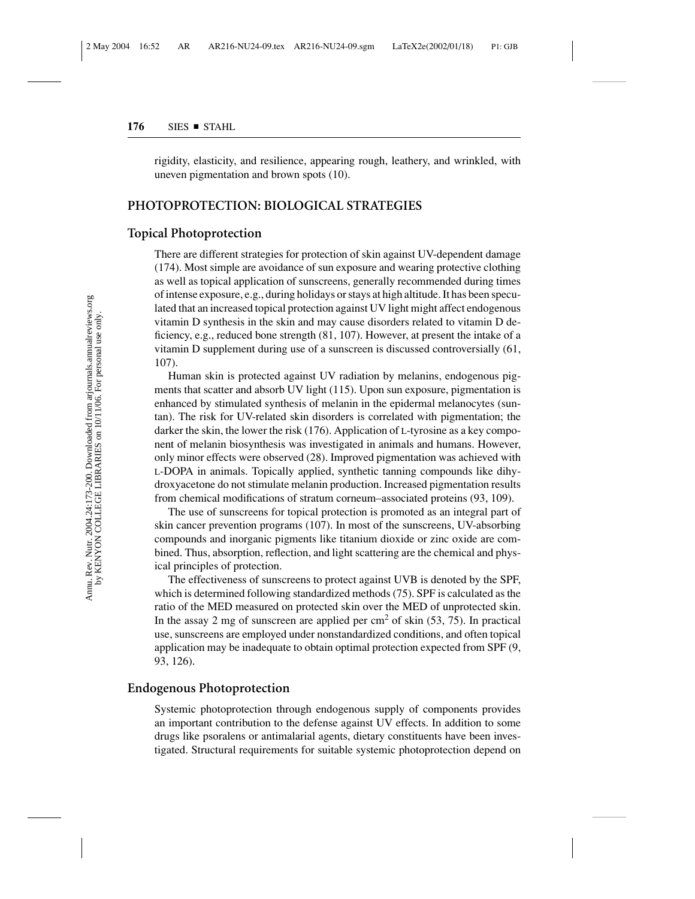rigidity, elasticity, and resilience, appearing rough, leathery, and wrinkled, with uneven pigmentation and brown spots (10).

## **PHOTOPROTECTION: BIOLOGICAL STRATEGIES**

#### **Topical Photoprotection**

There are different strategies for protection of skin against UV-dependent damage (174). Most simple are avoidance of sun exposure and wearing protective clothing as well as topical application of sunscreens, generally recommended during times of intense exposure, e.g., during holidays or stays at high altitude. It has been speculated that an increased topical protection against UV light might affect endogenous vitamin D synthesis in the skin and may cause disorders related to vitamin D deficiency, e.g., reduced bone strength (81, 107). However, at present the intake of a vitamin D supplement during use of a sunscreen is discussed controversially (61, 107).

Human skin is protected against UV radiation by melanins, endogenous pigments that scatter and absorb UV light (115). Upon sun exposure, pigmentation is enhanced by stimulated synthesis of melanin in the epidermal melanocytes (suntan). The risk for UV-related skin disorders is correlated with pigmentation; the darker the skin, the lower the risk (176). Application of L-tyrosine as a key component of melanin biosynthesis was investigated in animals and humans. However, only minor effects were observed (28). Improved pigmentation was achieved with L-DOPA in animals. Topically applied, synthetic tanning compounds like dihydroxyacetone do not stimulate melanin production. Increased pigmentation results from chemical modifications of stratum corneum–associated proteins (93, 109).

The use of sunscreens for topical protection is promoted as an integral part of skin cancer prevention programs (107). In most of the sunscreens, UV-absorbing compounds and inorganic pigments like titanium dioxide or zinc oxide are combined. Thus, absorption, reflection, and light scattering are the chemical and physical principles of protection.

The effectiveness of sunscreens to protect against UVB is denoted by the SPF, which is determined following standardized methods (75). SPF is calculated as the ratio of the MED measured on protected skin over the MED of unprotected skin. In the assay 2 mg of sunscreen are applied per  $\text{cm}^2$  of skin (53, 75). In practical use, sunscreens are employed under nonstandardized conditions, and often topical application may be inadequate to obtain optimal protection expected from SPF (9, 93, 126).

### **Endogenous Photoprotection**

Systemic photoprotection through endogenous supply of components provides an important contribution to the defense against UV effects. In addition to some drugs like psoralens or antimalarial agents, dietary constituents have been investigated. Structural requirements for suitable systemic photoprotection depend on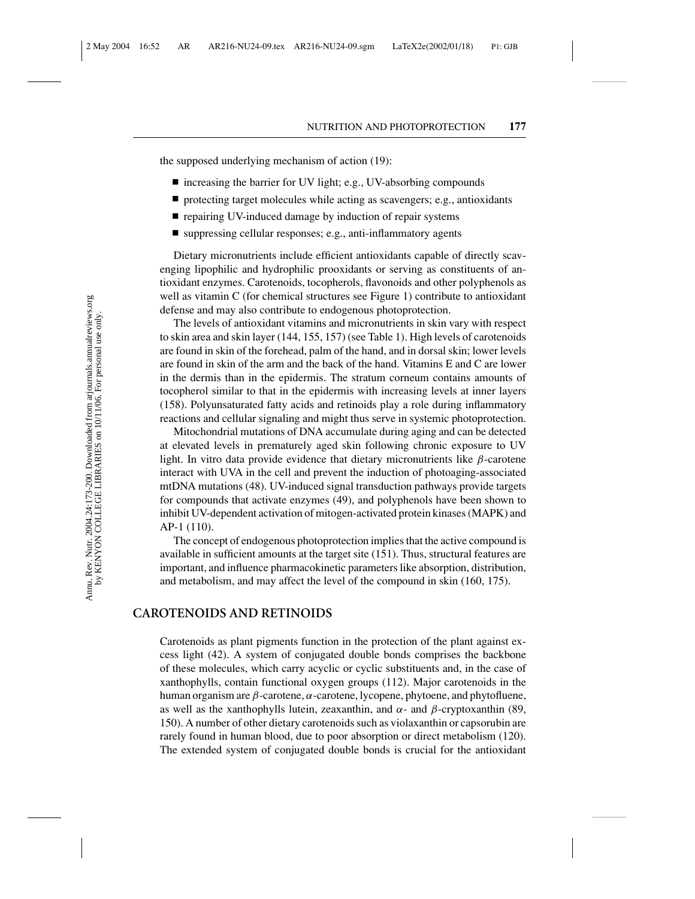the supposed underlying mechanism of action (19):

- increasing the barrier for UV light; e.g., UV-absorbing compounds
- protecting target molecules while acting as scavengers; e.g., antioxidants
- repairing UV-induced damage by induction of repair systems
- suppressing cellular responses; e.g., anti-inflammatory agents

Dietary micronutrients include efficient antioxidants capable of directly scavenging lipophilic and hydrophilic prooxidants or serving as constituents of antioxidant enzymes. Carotenoids, tocopherols, flavonoids and other polyphenols as well as vitamin C (for chemical structures see Figure 1) contribute to antioxidant defense and may also contribute to endogenous photoprotection.

The levels of antioxidant vitamins and micronutrients in skin vary with respect to skin area and skin layer (144, 155, 157) (see Table 1). High levels of carotenoids are found in skin of the forehead, palm of the hand, and in dorsal skin; lower levels are found in skin of the arm and the back of the hand. Vitamins E and C are lower in the dermis than in the epidermis. The stratum corneum contains amounts of tocopherol similar to that in the epidermis with increasing levels at inner layers (158). Polyunsaturated fatty acids and retinoids play a role during inflammatory reactions and cellular signaling and might thus serve in systemic photoprotection.

Mitochondrial mutations of DNA accumulate during aging and can be detected at elevated levels in prematurely aged skin following chronic exposure to UV light. In vitro data provide evidence that dietary micronutrients like  $\beta$ -carotene interact with UVA in the cell and prevent the induction of photoaging-associated mtDNA mutations (48). UV-induced signal transduction pathways provide targets for compounds that activate enzymes (49), and polyphenols have been shown to inhibit UV-dependent activation of mitogen-activated protein kinases (MAPK) and AP-1 (110).

The concept of endogenous photoprotection implies that the active compound is available in sufficient amounts at the target site (151). Thus, structural features are important, and influence pharmacokinetic parameters like absorption, distribution, and metabolism, and may affect the level of the compound in skin (160, 175).

#### **CAROTENOIDS AND RETINOIDS**

Carotenoids as plant pigments function in the protection of the plant against excess light (42). A system of conjugated double bonds comprises the backbone of these molecules, which carry acyclic or cyclic substituents and, in the case of xanthophylls, contain functional oxygen groups (112). Major carotenoids in the human organism are β-carotene,  $\alpha$ -carotene, lycopene, phytoene, and phytofluene, as well as the xanthophylls lutein, zeaxanthin, and  $\alpha$ - and  $\beta$ -cryptoxanthin (89, 150). A number of other dietary carotenoids such as violaxanthin or capsorubin are rarely found in human blood, due to poor absorption or direct metabolism (120). The extended system of conjugated double bonds is crucial for the antioxidant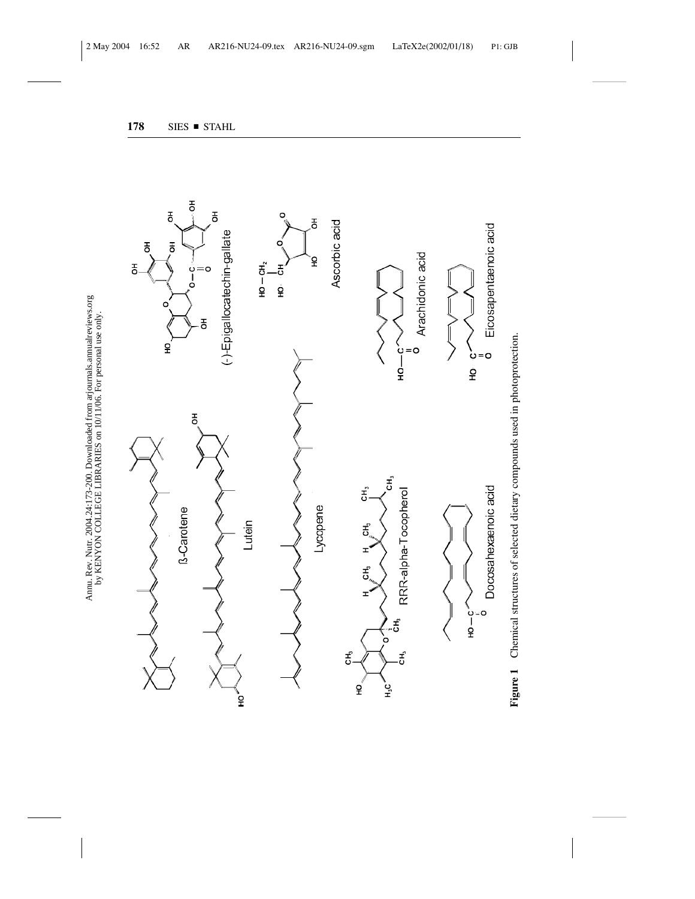



Figure 1 Chemical structures of selected dietary compounds used in photoprotection. **Figure 1** Chemical structures of selected dietary compounds used in photoprotection.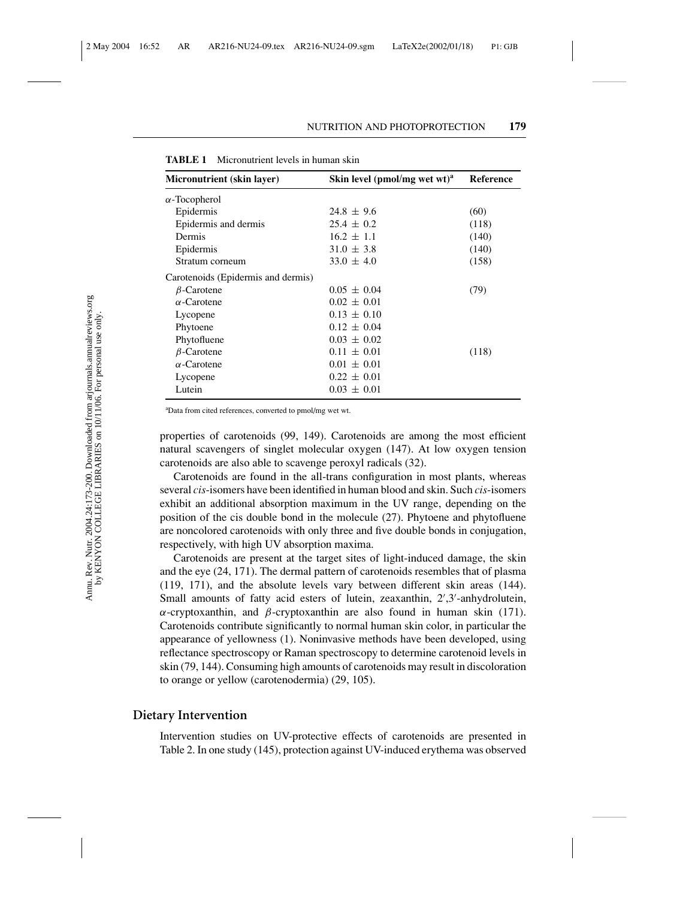| Micronutrient (skin layer)         | Skin level (pmol/mg wet wt) <sup>a</sup> | Reference |
|------------------------------------|------------------------------------------|-----------|
| $\alpha$ -Tocopherol               |                                          |           |
| Epidermis                          | $24.8 \pm 9.6$                           | (60)      |
| Epidermis and dermis               | $25.4 \pm 0.2$                           | (118)     |
| Dermis                             | $16.2 \pm 1.1$                           | (140)     |
| Epidermis                          | $31.0 \pm 3.8$                           | (140)     |
| Stratum corneum                    | $33.0 \pm 4.0$                           | (158)     |
| Carotenoids (Epidermis and dermis) |                                          |           |
| $\beta$ -Carotene                  | $0.05 \pm 0.04$                          | (79)      |
| $\alpha$ -Carotene                 | $0.02 \pm 0.01$                          |           |
| Lycopene                           | $0.13 \pm 0.10$                          |           |
| Phytoene                           | $0.12 \pm 0.04$                          |           |
| Phytofluene                        | $0.03 \pm 0.02$                          |           |
| $\beta$ -Carotene                  | $0.11 \pm 0.01$                          | (118)     |
| $\alpha$ -Carotene                 | $0.01 \pm 0.01$                          |           |
| Lycopene                           | $0.22 \pm 0.01$                          |           |
| Lutein                             | $0.03 \pm 0.01$                          |           |

**TABLE 1** Micronutrient levels in human skin

a Data from cited references, converted to pmol/mg wet wt.

properties of carotenoids (99, 149). Carotenoids are among the most efficient natural scavengers of singlet molecular oxygen (147). At low oxygen tension carotenoids are also able to scavenge peroxyl radicals (32).

Carotenoids are found in the all-trans configuration in most plants, whereas several *cis*-isomers have been identified in human blood and skin. Such *cis*-isomers exhibit an additional absorption maximum in the UV range, depending on the position of the cis double bond in the molecule (27). Phytoene and phytofluene are noncolored carotenoids with only three and five double bonds in conjugation, respectively, with high UV absorption maxima.

Carotenoids are present at the target sites of light-induced damage, the skin and the eye (24, 171). The dermal pattern of carotenoids resembles that of plasma (119, 171), and the absolute levels vary between different skin areas (144). Small amounts of fatty acid esters of lutein, zeaxanthin, 2',3'-anhydrolutein, α-cryptoxanthin, and β-cryptoxanthin are also found in human skin (171). Carotenoids contribute significantly to normal human skin color, in particular the appearance of yellowness (1). Noninvasive methods have been developed, using reflectance spectroscopy or Raman spectroscopy to determine carotenoid levels in skin (79, 144). Consuming high amounts of carotenoids may result in discoloration to orange or yellow (carotenodermia) (29, 105).

#### **Dietary Intervention**

Intervention studies on UV-protective effects of carotenoids are presented in Table 2. In one study (145), protection against UV-induced erythema was observed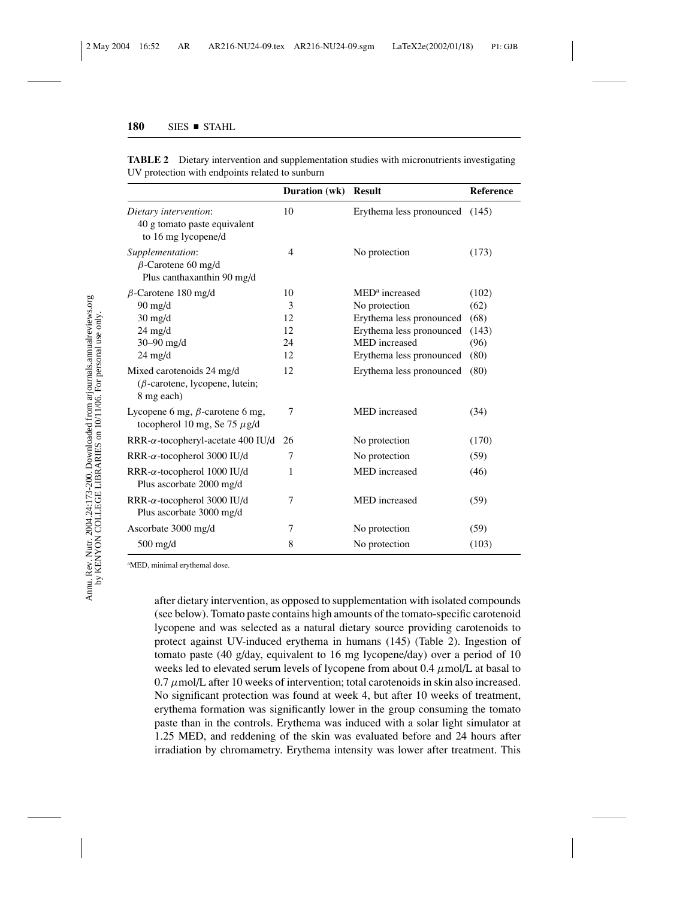|                                                                                  | Duration (wk)  | <b>Result</b>                  | <b>Reference</b> |
|----------------------------------------------------------------------------------|----------------|--------------------------------|------------------|
| Dietary intervention:<br>40 g tomato paste equivalent<br>to 16 mg lycopene/d     | 10             | Erythema less pronounced (145) |                  |
| Supplementation:<br>$\beta$ -Carotene 60 mg/d<br>Plus canthaxanthin 90 mg/d      | $\overline{4}$ | No protection                  | (173)            |
| $\beta$ -Carotene 180 mg/d                                                       | 10             | $MEDa$ increased               | (102)            |
| $90 \text{ mg/d}$                                                                | 3              | No protection                  | (62)             |
| $30 \text{ mg/d}$                                                                | 12             | Erythema less pronounced       | (68)             |
| $24 \text{ mg/d}$                                                                | 12             | Erythema less pronounced       | (143)            |
| $30 - 90$ mg/d                                                                   | 24             | MED increased                  | (96)             |
| $24 \text{ mg/d}$                                                                | 12             | Erythema less pronounced       | (80)             |
| Mixed carotenoids 24 mg/d<br>$(\beta$ -carotene, lycopene, lutein;<br>8 mg each) | 12             | Erythema less pronounced       | (80)             |
| Lycopene 6 mg, $\beta$ -carotene 6 mg,<br>tocopherol 10 mg, Se 75 $\mu$ g/d      | 7              | MED increased                  | (34)             |
| $RRR-\alpha$ -tocopheryl-acetate 400 IU/d                                        | 26             | No protection                  | (170)            |
| $RRR-\alpha$ -tocopherol 3000 IU/d                                               | 7              | No protection                  | (59)             |
| RRR- $\alpha$ -tocopherol 1000 IU/d<br>Plus ascorbate 2000 mg/d                  | 1              | MED increased                  | (46)             |
| RRR-a-tocopherol 3000 IU/d<br>Plus ascorbate 3000 mg/d                           | 7              | MED increased                  | (59)             |
| Ascorbate 3000 mg/d                                                              | 7              | No protection                  | (59)             |
| $500$ mg/d                                                                       | 8              | No protection                  | (103)            |

**TABLE 2** Dietary intervention and supplementation studies with micronutrients investigating UV protection with endpoints related to sunburn

a MED, minimal erythemal dose.

after dietary intervention, as opposed to supplementation with isolated compounds (see below). Tomato paste contains high amounts of the tomato-specific carotenoid lycopene and was selected as a natural dietary source providing carotenoids to protect against UV-induced erythema in humans (145) (Table 2). Ingestion of tomato paste (40 g/day, equivalent to 16 mg lycopene/day) over a period of 10 weeks led to elevated serum levels of lycopene from about 0.4  $\mu$ mol/L at basal to  $0.7 \mu$  mol/L after 10 weeks of intervention; total carotenoids in skin also increased. No significant protection was found at week 4, but after 10 weeks of treatment, erythema formation was significantly lower in the group consuming the tomato paste than in the controls. Erythema was induced with a solar light simulator at 1.25 MED, and reddening of the skin was evaluated before and 24 hours after irradiation by chromametry. Erythema intensity was lower after treatment. This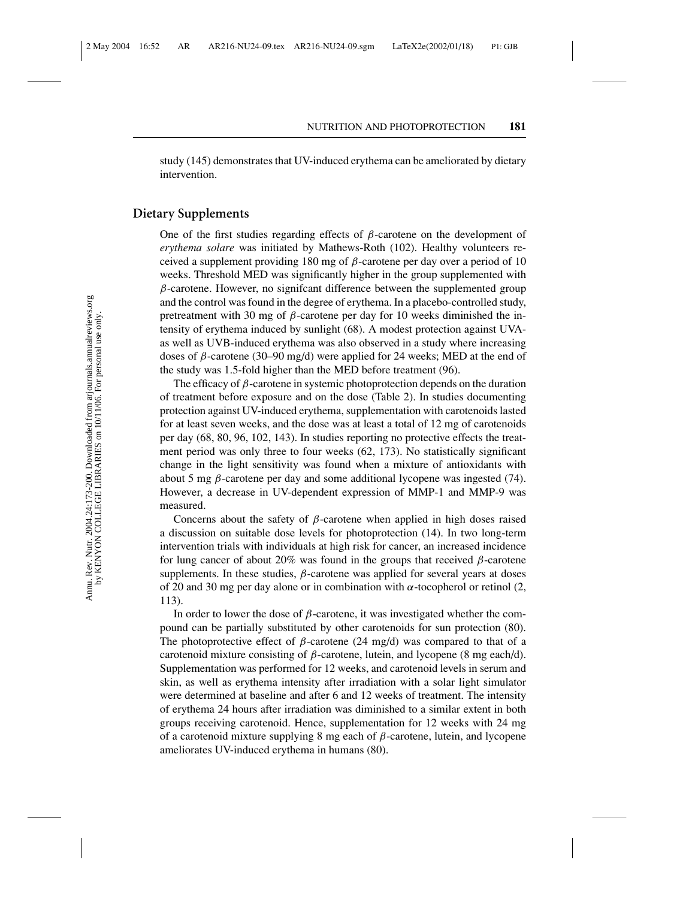study (145) demonstrates that UV-induced erythema can be ameliorated by dietary intervention.

# **Dietary Supplements**

One of the first studies regarding effects of  $\beta$ -carotene on the development of *erythema solare* was initiated by Mathews-Roth (102). Healthy volunteers received a supplement providing 180 mg of  $\beta$ -carotene per day over a period of 10 weeks. Threshold MED was significantly higher in the group supplemented with  $\beta$ -carotene. However, no significant difference between the supplemented group and the control was found in the degree of erythema. In a placebo-controlled study, pretreatment with 30 mg of  $\beta$ -carotene per day for 10 weeks diminished the intensity of erythema induced by sunlight (68). A modest protection against UVAas well as UVB-induced erythema was also observed in a study where increasing doses of  $\beta$ -carotene (30–90 mg/d) were applied for 24 weeks; MED at the end of the study was 1.5-fold higher than the MED before treatment (96).

The efficacy of  $\beta$ -carotene in systemic photoprotection depends on the duration of treatment before exposure and on the dose (Table 2). In studies documenting protection against UV-induced erythema, supplementation with carotenoids lasted for at least seven weeks, and the dose was at least a total of 12 mg of carotenoids per day (68, 80, 96, 102, 143). In studies reporting no protective effects the treatment period was only three to four weeks (62, 173). No statistically significant change in the light sensitivity was found when a mixture of antioxidants with about 5 mg  $\beta$ -carotene per day and some additional lycopene was ingested (74). However, a decrease in UV-dependent expression of MMP-1 and MMP-9 was measured.

Concerns about the safety of  $\beta$ -carotene when applied in high doses raised a discussion on suitable dose levels for photoprotection (14). In two long-term intervention trials with individuals at high risk for cancer, an increased incidence for lung cancer of about 20% was found in the groups that received  $\beta$ -carotene supplements. In these studies,  $\beta$ -carotene was applied for several years at doses of 20 and 30 mg per day alone or in combination with  $\alpha$ -tocopherol or retinol (2, 113).

In order to lower the dose of  $\beta$ -carotene, it was investigated whether the compound can be partially substituted by other carotenoids for sun protection (80). The photoprotective effect of  $\beta$ -carotene (24 mg/d) was compared to that of a carotenoid mixture consisting of  $\beta$ -carotene, lutein, and lycopene (8 mg each/d). Supplementation was performed for 12 weeks, and carotenoid levels in serum and skin, as well as erythema intensity after irradiation with a solar light simulator were determined at baseline and after 6 and 12 weeks of treatment. The intensity of erythema 24 hours after irradiation was diminished to a similar extent in both groups receiving carotenoid. Hence, supplementation for 12 weeks with 24 mg of a carotenoid mixture supplying 8 mg each of  $\beta$ -carotene, lutein, and lycopene ameliorates UV-induced erythema in humans (80).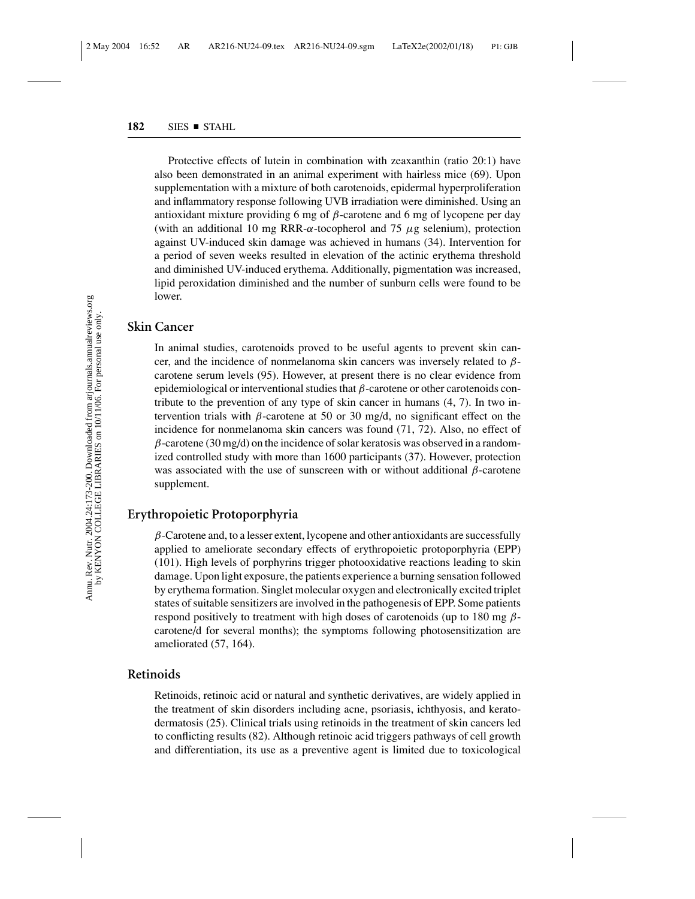Protective effects of lutein in combination with zeaxanthin (ratio 20:1) have also been demonstrated in an animal experiment with hairless mice (69). Upon supplementation with a mixture of both carotenoids, epidermal hyperproliferation and inflammatory response following UVB irradiation were diminished. Using an antioxidant mixture providing 6 mg of  $\beta$ -carotene and 6 mg of lycopene per day (with an additional 10 mg RRR- $\alpha$ -tocopherol and 75  $\mu$ g selenium), protection against UV-induced skin damage was achieved in humans (34). Intervention for a period of seven weeks resulted in elevation of the actinic erythema threshold and diminished UV-induced erythema. Additionally, pigmentation was increased, lipid peroxidation diminished and the number of sunburn cells were found to be lower.

#### **Skin Cancer**

In animal studies, carotenoids proved to be useful agents to prevent skin cancer, and the incidence of nonmelanoma skin cancers was inversely related to  $\beta$ carotene serum levels (95). However, at present there is no clear evidence from epidemiological or interventional studies that  $\beta$ -carotene or other carotenoids contribute to the prevention of any type of skin cancer in humans (4, 7). In two intervention trials with  $\beta$ -carotene at 50 or 30 mg/d, no significant effect on the incidence for nonmelanoma skin cancers was found (71, 72). Also, no effect of  $\beta$ -carotene (30 mg/d) on the incidence of solar keratosis was observed in a randomized controlled study with more than 1600 participants (37). However, protection was associated with the use of sunscreen with or without additional  $\beta$ -carotene supplement.

#### **Erythropoietic Protoporphyria**

 $\beta$ -Carotene and, to a lesser extent, lycopene and other antioxidants are successfully applied to ameliorate secondary effects of erythropoietic protoporphyria (EPP) (101). High levels of porphyrins trigger photooxidative reactions leading to skin damage. Upon light exposure, the patients experience a burning sensation followed by erythema formation. Singlet molecular oxygen and electronically excited triplet states of suitable sensitizers are involved in the pathogenesis of EPP. Some patients respond positively to treatment with high doses of carotenoids (up to 180 mg  $\beta$ carotene/d for several months); the symptoms following photosensitization are ameliorated (57, 164).

# **Retinoids**

Retinoids, retinoic acid or natural and synthetic derivatives, are widely applied in the treatment of skin disorders including acne, psoriasis, ichthyosis, and keratodermatosis (25). Clinical trials using retinoids in the treatment of skin cancers led to conflicting results (82). Although retinoic acid triggers pathways of cell growth and differentiation, its use as a preventive agent is limited due to toxicological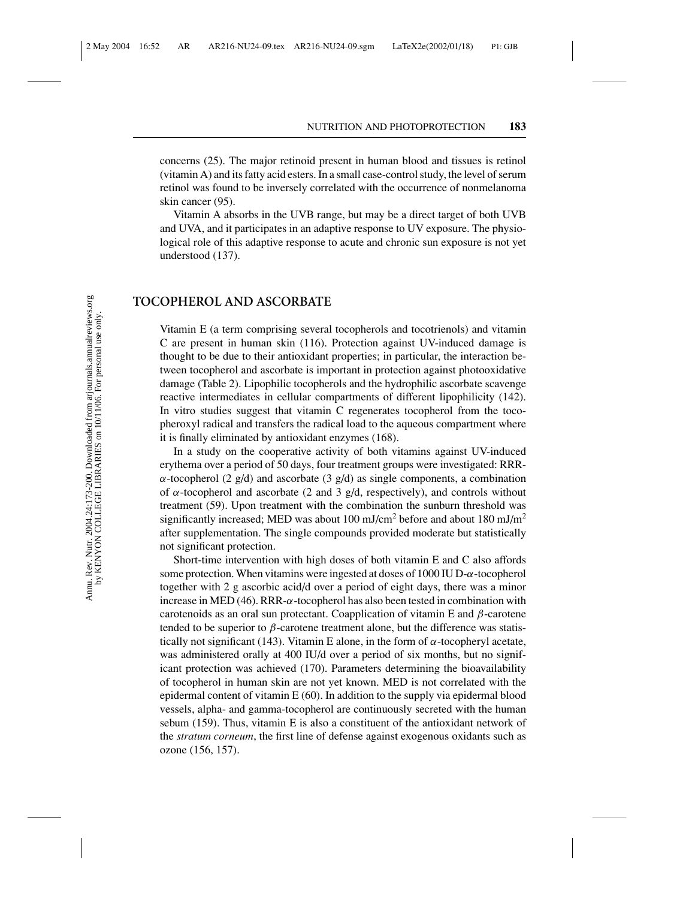concerns (25). The major retinoid present in human blood and tissues is retinol (vitamin A) and its fatty acid esters. In a small case-control study, the level of serum retinol was found to be inversely correlated with the occurrence of nonmelanoma skin cancer (95).

Vitamin A absorbs in the UVB range, but may be a direct target of both UVB and UVA, and it participates in an adaptive response to UV exposure. The physiological role of this adaptive response to acute and chronic sun exposure is not yet understood (137).

## **TOCOPHEROL AND ASCORBATE**

Vitamin E (a term comprising several tocopherols and tocotrienols) and vitamin C are present in human skin (116). Protection against UV-induced damage is thought to be due to their antioxidant properties; in particular, the interaction between tocopherol and ascorbate is important in protection against photooxidative damage (Table 2). Lipophilic tocopherols and the hydrophilic ascorbate scavenge reactive intermediates in cellular compartments of different lipophilicity (142). In vitro studies suggest that vitamin C regenerates tocopherol from the tocopheroxyl radical and transfers the radical load to the aqueous compartment where it is finally eliminated by antioxidant enzymes (168).

In a study on the cooperative activity of both vitamins against UV-induced erythema over a period of 50 days, four treatment groups were investigated: RRR- $\alpha$ -tocopherol (2 g/d) and ascorbate (3 g/d) as single components, a combination of  $\alpha$ -tocopherol and ascorbate (2 and 3 g/d, respectively), and controls without treatment (59). Upon treatment with the combination the sunburn threshold was significantly increased; MED was about 100 mJ/cm<sup>2</sup> before and about 180 mJ/m<sup>2</sup> after supplementation. The single compounds provided moderate but statistically not significant protection.

Short-time intervention with high doses of both vitamin E and C also affords some protection. When vitamins were ingested at doses of  $1000$  IU D- $\alpha$ -tocopherol together with 2 g ascorbic acid/d over a period of eight days, there was a minor increase in MED (46). RRR- $\alpha$ -tocopherol has also been tested in combination with carotenoids as an oral sun protectant. Coapplication of vitamin E and  $\beta$ -carotene tended to be superior to  $\beta$ -carotene treatment alone, but the difference was statistically not significant (143). Vitamin E alone, in the form of  $\alpha$ -tocopheryl acetate, was administered orally at 400 IU/d over a period of six months, but no significant protection was achieved (170). Parameters determining the bioavailability of tocopherol in human skin are not yet known. MED is not correlated with the epidermal content of vitamin E (60). In addition to the supply via epidermal blood vessels, alpha- and gamma-tocopherol are continuously secreted with the human sebum (159). Thus, vitamin E is also a constituent of the antioxidant network of the *stratum corneum*, the first line of defense against exogenous oxidants such as ozone (156, 157).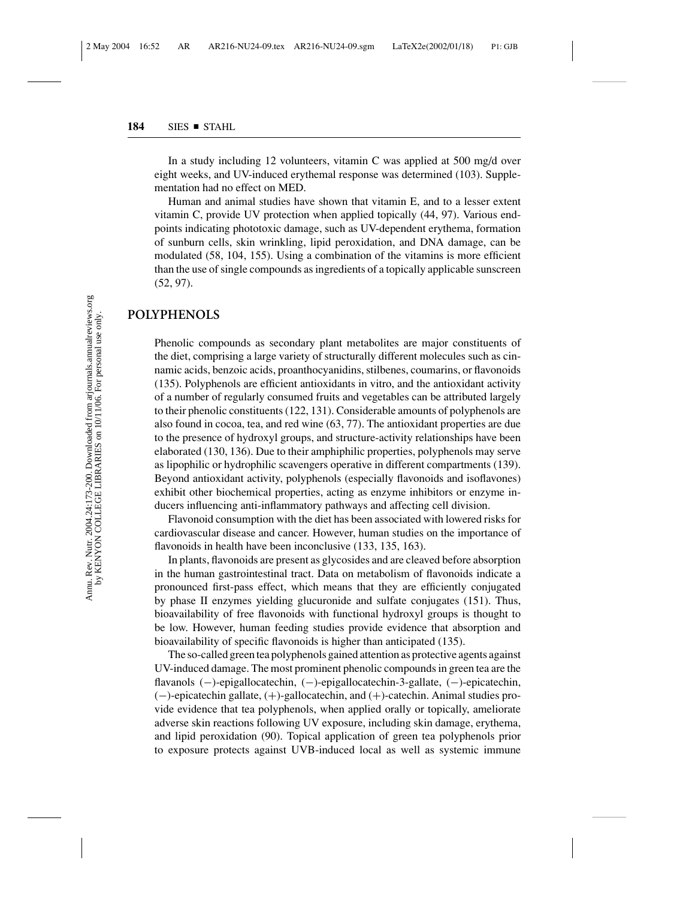In a study including 12 volunteers, vitamin C was applied at 500 mg/d over eight weeks, and UV-induced erythemal response was determined (103). Supplementation had no effect on MED.

Human and animal studies have shown that vitamin E, and to a lesser extent vitamin C, provide UV protection when applied topically (44, 97). Various endpoints indicating phototoxic damage, such as UV-dependent erythema, formation of sunburn cells, skin wrinkling, lipid peroxidation, and DNA damage, can be modulated (58, 104, 155). Using a combination of the vitamins is more efficient than the use of single compounds as ingredients of a topically applicable sunscreen (52, 97).

## **POLYPHENOLS**

Phenolic compounds as secondary plant metabolites are major constituents of the diet, comprising a large variety of structurally different molecules such as cinnamic acids, benzoic acids, proanthocyanidins, stilbenes, coumarins, or flavonoids (135). Polyphenols are efficient antioxidants in vitro, and the antioxidant activity of a number of regularly consumed fruits and vegetables can be attributed largely to their phenolic constituents (122, 131). Considerable amounts of polyphenols are also found in cocoa, tea, and red wine (63, 77). The antioxidant properties are due to the presence of hydroxyl groups, and structure-activity relationships have been elaborated (130, 136). Due to their amphiphilic properties, polyphenols may serve as lipophilic or hydrophilic scavengers operative in different compartments (139). Beyond antioxidant activity, polyphenols (especially flavonoids and isoflavones) exhibit other biochemical properties, acting as enzyme inhibitors or enzyme inducers influencing anti-inflammatory pathways and affecting cell division.

Flavonoid consumption with the diet has been associated with lowered risks for cardiovascular disease and cancer. However, human studies on the importance of flavonoids in health have been inconclusive (133, 135, 163).

In plants, flavonoids are present as glycosides and are cleaved before absorption in the human gastrointestinal tract. Data on metabolism of flavonoids indicate a pronounced first-pass effect, which means that they are efficiently conjugated by phase II enzymes yielding glucuronide and sulfate conjugates (151). Thus, bioavailability of free flavonoids with functional hydroxyl groups is thought to be low. However, human feeding studies provide evidence that absorption and bioavailability of specific flavonoids is higher than anticipated (135).

The so-called green tea polyphenols gained attention as protective agents against UV-induced damage. The most prominent phenolic compounds in green tea are the flavanols (−)-epigallocatechin, (−)-epigallocatechin-3-gallate, (−)-epicatechin, (−)-epicatechin gallate, (+)-gallocatechin, and (+)-catechin. Animal studies provide evidence that tea polyphenols, when applied orally or topically, ameliorate adverse skin reactions following UV exposure, including skin damage, erythema, and lipid peroxidation (90). Topical application of green tea polyphenols prior to exposure protects against UVB-induced local as well as systemic immune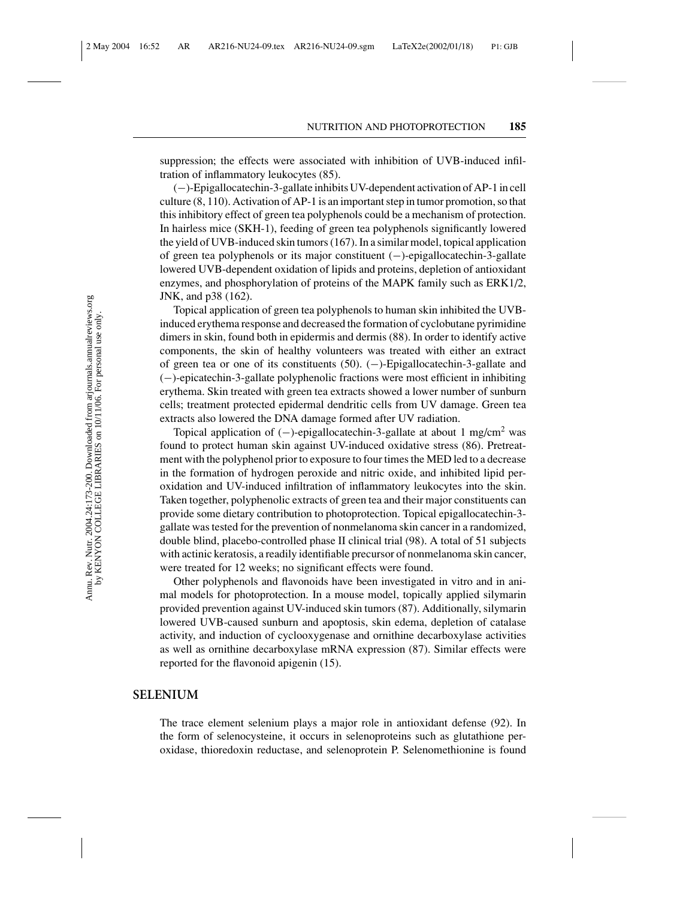suppression; the effects were associated with inhibition of UVB-induced infiltration of inflammatory leukocytes (85).

(−)-Epigallocatechin-3-gallate inhibits UV-dependent activation of AP-1 in cell culture (8, 110). Activation of AP-1 is an important step in tumor promotion, so that this inhibitory effect of green tea polyphenols could be a mechanism of protection. In hairless mice (SKH-1), feeding of green tea polyphenols significantly lowered the yield of UVB-induced skin tumors (167). In a similar model, topical application of green tea polyphenols or its major constituent (−)-epigallocatechin-3-gallate lowered UVB-dependent oxidation of lipids and proteins, depletion of antioxidant enzymes, and phosphorylation of proteins of the MAPK family such as ERK1/2, JNK, and p38 (162).

Topical application of green tea polyphenols to human skin inhibited the UVBinduced erythema response and decreased the formation of cyclobutane pyrimidine dimers in skin, found both in epidermis and dermis (88). In order to identify active components, the skin of healthy volunteers was treated with either an extract of green tea or one of its constituents (50). (−)-Epigallocatechin-3-gallate and (−)-epicatechin-3-gallate polyphenolic fractions were most efficient in inhibiting erythema. Skin treated with green tea extracts showed a lower number of sunburn cells; treatment protected epidermal dendritic cells from UV damage. Green tea extracts also lowered the DNA damage formed after UV radiation.

Topical application of  $(-)$ -epigallocatechin-3-gallate at about 1 mg/cm<sup>2</sup> was found to protect human skin against UV-induced oxidative stress (86). Pretreatment with the polyphenol prior to exposure to four times the MED led to a decrease in the formation of hydrogen peroxide and nitric oxide, and inhibited lipid peroxidation and UV-induced infiltration of inflammatory leukocytes into the skin. Taken together, polyphenolic extracts of green tea and their major constituents can provide some dietary contribution to photoprotection. Topical epigallocatechin-3 gallate was tested for the prevention of nonmelanoma skin cancer in a randomized, double blind, placebo-controlled phase II clinical trial (98). A total of 51 subjects with actinic keratosis, a readily identifiable precursor of nonmelanoma skin cancer, were treated for 12 weeks; no significant effects were found.

Other polyphenols and flavonoids have been investigated in vitro and in animal models for photoprotection. In a mouse model, topically applied silymarin provided prevention against UV-induced skin tumors (87). Additionally, silymarin lowered UVB-caused sunburn and apoptosis, skin edema, depletion of catalase activity, and induction of cyclooxygenase and ornithine decarboxylase activities as well as ornithine decarboxylase mRNA expression (87). Similar effects were reported for the flavonoid apigenin (15).

### **SELENIUM**

The trace element selenium plays a major role in antioxidant defense (92). In the form of selenocysteine, it occurs in selenoproteins such as glutathione peroxidase, thioredoxin reductase, and selenoprotein P. Selenomethionine is found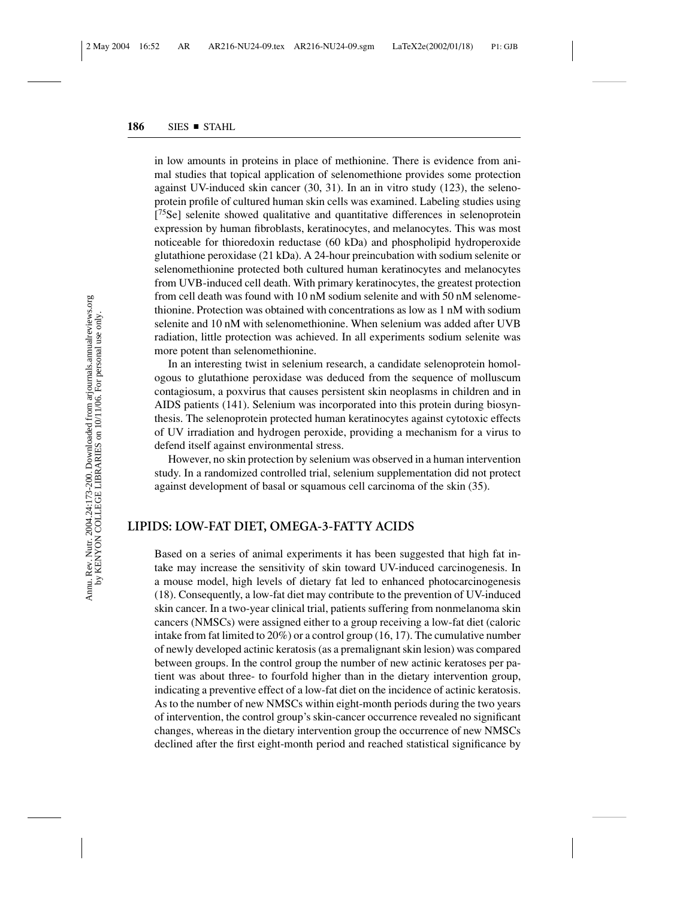in low amounts in proteins in place of methionine. There is evidence from animal studies that topical application of selenomethione provides some protection against UV-induced skin cancer (30, 31). In an in vitro study (123), the selenoprotein profile of cultured human skin cells was examined. Labeling studies using [<sup>75</sup>Se] selenite showed qualitative and quantitative differences in selenoprotein expression by human fibroblasts, keratinocytes, and melanocytes. This was most noticeable for thioredoxin reductase (60 kDa) and phospholipid hydroperoxide glutathione peroxidase (21 kDa). A 24-hour preincubation with sodium selenite or selenomethionine protected both cultured human keratinocytes and melanocytes from UVB-induced cell death. With primary keratinocytes, the greatest protection from cell death was found with 10 nM sodium selenite and with 50 nM selenomethionine. Protection was obtained with concentrations as low as 1 nM with sodium selenite and 10 nM with selenomethionine. When selenium was added after UVB radiation, little protection was achieved. In all experiments sodium selenite was more potent than selenomethionine.

In an interesting twist in selenium research, a candidate selenoprotein homologous to glutathione peroxidase was deduced from the sequence of molluscum contagiosum, a poxvirus that causes persistent skin neoplasms in children and in AIDS patients (141). Selenium was incorporated into this protein during biosynthesis. The selenoprotein protected human keratinocytes against cytotoxic effects of UV irradiation and hydrogen peroxide, providing a mechanism for a virus to defend itself against environmental stress.

However, no skin protection by selenium was observed in a human intervention study. In a randomized controlled trial, selenium supplementation did not protect against development of basal or squamous cell carcinoma of the skin (35).

#### **LIPIDS: LOW-FAT DIET, OMEGA-3-FATTY ACIDS**

Based on a series of animal experiments it has been suggested that high fat intake may increase the sensitivity of skin toward UV-induced carcinogenesis. In a mouse model, high levels of dietary fat led to enhanced photocarcinogenesis (18). Consequently, a low-fat diet may contribute to the prevention of UV-induced skin cancer. In a two-year clinical trial, patients suffering from nonmelanoma skin cancers (NMSCs) were assigned either to a group receiving a low-fat diet (caloric intake from fat limited to 20%) or a control group (16, 17). The cumulative number of newly developed actinic keratosis (as a premalignant skin lesion) was compared between groups. In the control group the number of new actinic keratoses per patient was about three- to fourfold higher than in the dietary intervention group, indicating a preventive effect of a low-fat diet on the incidence of actinic keratosis. As to the number of new NMSCs within eight-month periods during the two years of intervention, the control group's skin-cancer occurrence revealed no significant changes, whereas in the dietary intervention group the occurrence of new NMSCs declined after the first eight-month period and reached statistical significance by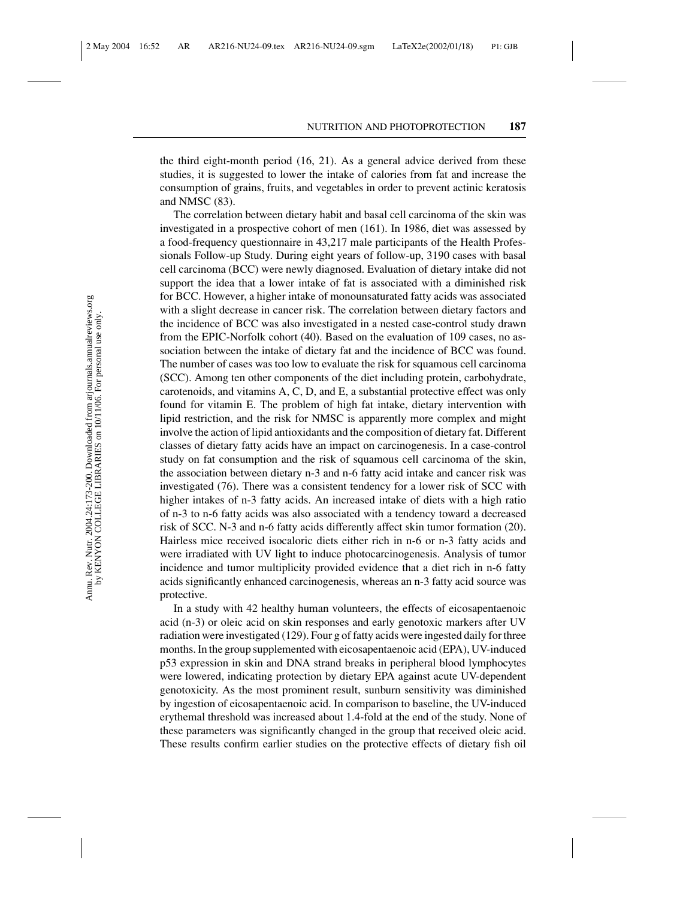the third eight-month period (16, 21). As a general advice derived from these studies, it is suggested to lower the intake of calories from fat and increase the consumption of grains, fruits, and vegetables in order to prevent actinic keratosis and NMSC (83).

The correlation between dietary habit and basal cell carcinoma of the skin was investigated in a prospective cohort of men (161). In 1986, diet was assessed by a food-frequency questionnaire in 43,217 male participants of the Health Professionals Follow-up Study. During eight years of follow-up, 3190 cases with basal cell carcinoma (BCC) were newly diagnosed. Evaluation of dietary intake did not support the idea that a lower intake of fat is associated with a diminished risk for BCC. However, a higher intake of monounsaturated fatty acids was associated with a slight decrease in cancer risk. The correlation between dietary factors and the incidence of BCC was also investigated in a nested case-control study drawn from the EPIC-Norfolk cohort (40). Based on the evaluation of 109 cases, no association between the intake of dietary fat and the incidence of BCC was found. The number of cases was too low to evaluate the risk for squamous cell carcinoma (SCC). Among ten other components of the diet including protein, carbohydrate, carotenoids, and vitamins A, C, D, and E, a substantial protective effect was only found for vitamin E. The problem of high fat intake, dietary intervention with lipid restriction, and the risk for NMSC is apparently more complex and might involve the action of lipid antioxidants and the composition of dietary fat. Different classes of dietary fatty acids have an impact on carcinogenesis. In a case-control study on fat consumption and the risk of squamous cell carcinoma of the skin, the association between dietary n-3 and n-6 fatty acid intake and cancer risk was investigated (76). There was a consistent tendency for a lower risk of SCC with higher intakes of n-3 fatty acids. An increased intake of diets with a high ratio of n-3 to n-6 fatty acids was also associated with a tendency toward a decreased risk of SCC. N-3 and n-6 fatty acids differently affect skin tumor formation (20). Hairless mice received isocaloric diets either rich in n-6 or n-3 fatty acids and were irradiated with UV light to induce photocarcinogenesis. Analysis of tumor incidence and tumor multiplicity provided evidence that a diet rich in n-6 fatty acids significantly enhanced carcinogenesis, whereas an n-3 fatty acid source was protective.

In a study with 42 healthy human volunteers, the effects of eicosapentaenoic acid (n-3) or oleic acid on skin responses and early genotoxic markers after UV radiation were investigated (129). Four g of fatty acids were ingested daily for three months. In the group supplemented with eicosapentaenoic acid (EPA), UV-induced p53 expression in skin and DNA strand breaks in peripheral blood lymphocytes were lowered, indicating protection by dietary EPA against acute UV-dependent genotoxicity. As the most prominent result, sunburn sensitivity was diminished by ingestion of eicosapentaenoic acid. In comparison to baseline, the UV-induced erythemal threshold was increased about 1.4-fold at the end of the study. None of these parameters was significantly changed in the group that received oleic acid. These results confirm earlier studies on the protective effects of dietary fish oil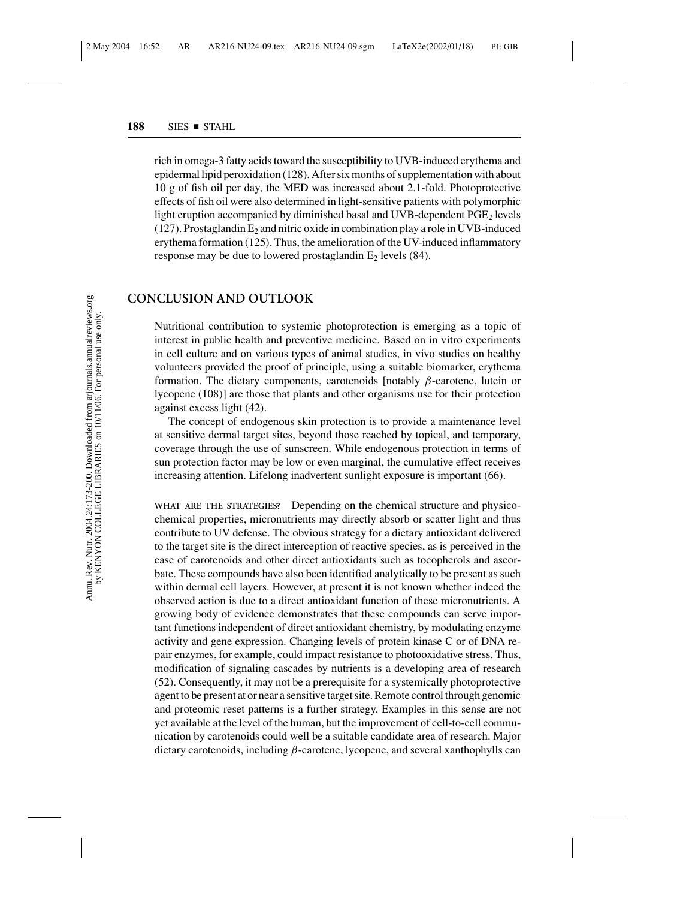rich in omega-3 fatty acids toward the susceptibility to UVB-induced erythema and epidermal lipid peroxidation (128). After six months of supplementation with about 10 g of fish oil per day, the MED was increased about 2.1-fold. Photoprotective effects of fish oil were also determined in light-sensitive patients with polymorphic light eruption accompanied by diminished basal and UVB-dependent  $PGE_2$  levels  $(127)$ . Prostaglandin E<sub>2</sub> and nitric oxide in combination play a role in UVB-induced erythema formation (125). Thus, the amelioration of the UV-induced inflammatory response may be due to lowered prostaglandin  $E_2$  levels (84).

### **CONCLUSION AND OUTLOOK**

Nutritional contribution to systemic photoprotection is emerging as a topic of interest in public health and preventive medicine. Based on in vitro experiments in cell culture and on various types of animal studies, in vivo studies on healthy volunteers provided the proof of principle, using a suitable biomarker, erythema formation. The dietary components, carotenoids [notably  $\beta$ -carotene, lutein or lycopene (108)] are those that plants and other organisms use for their protection against excess light (42).

The concept of endogenous skin protection is to provide a maintenance level at sensitive dermal target sites, beyond those reached by topical, and temporary, coverage through the use of sunscreen. While endogenous protection in terms of sun protection factor may be low or even marginal, the cumulative effect receives increasing attention. Lifelong inadvertent sunlight exposure is important (66).

**WHAT ARE THE STRATEGIES?** Depending on the chemical structure and physicochemical properties, micronutrients may directly absorb or scatter light and thus contribute to UV defense. The obvious strategy for a dietary antioxidant delivered to the target site is the direct interception of reactive species, as is perceived in the case of carotenoids and other direct antioxidants such as tocopherols and ascorbate. These compounds have also been identified analytically to be present as such within dermal cell layers. However, at present it is not known whether indeed the observed action is due to a direct antioxidant function of these micronutrients. A growing body of evidence demonstrates that these compounds can serve important functions independent of direct antioxidant chemistry, by modulating enzyme activity and gene expression. Changing levels of protein kinase C or of DNA repair enzymes, for example, could impact resistance to photooxidative stress. Thus, modification of signaling cascades by nutrients is a developing area of research (52). Consequently, it may not be a prerequisite for a systemically photoprotective agent to be present at or near a sensitive target site. Remote control through genomic and proteomic reset patterns is a further strategy. Examples in this sense are not yet available at the level of the human, but the improvement of cell-to-cell communication by carotenoids could well be a suitable candidate area of research. Major dietary carotenoids, including  $\beta$ -carotene, lycopene, and several xanthophylls can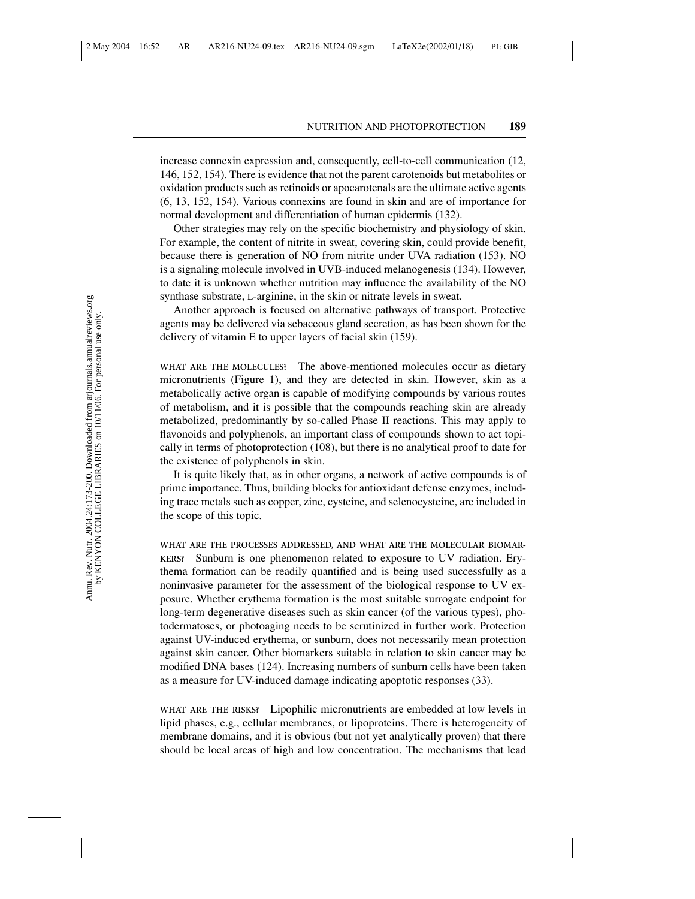increase connexin expression and, consequently, cell-to-cell communication (12, 146, 152, 154). There is evidence that not the parent carotenoids but metabolites or oxidation products such as retinoids or apocarotenals are the ultimate active agents (6, 13, 152, 154). Various connexins are found in skin and are of importance for normal development and differentiation of human epidermis (132).

Other strategies may rely on the specific biochemistry and physiology of skin. For example, the content of nitrite in sweat, covering skin, could provide benefit, because there is generation of NO from nitrite under UVA radiation (153). NO is a signaling molecule involved in UVB-induced melanogenesis (134). However, to date it is unknown whether nutrition may influence the availability of the NO synthase substrate, L-arginine, in the skin or nitrate levels in sweat.

Another approach is focused on alternative pathways of transport. Protective agents may be delivered via sebaceous gland secretion, as has been shown for the delivery of vitamin E to upper layers of facial skin (159).

**WHAT ARE THE MOLECULES?** The above-mentioned molecules occur as dietary micronutrients (Figure 1), and they are detected in skin. However, skin as a metabolically active organ is capable of modifying compounds by various routes of metabolism, and it is possible that the compounds reaching skin are already metabolized, predominantly by so-called Phase II reactions. This may apply to flavonoids and polyphenols, an important class of compounds shown to act topically in terms of photoprotection (108), but there is no analytical proof to date for the existence of polyphenols in skin.

It is quite likely that, as in other organs, a network of active compounds is of prime importance. Thus, building blocks for antioxidant defense enzymes, including trace metals such as copper, zinc, cysteine, and selenocysteine, are included in the scope of this topic.

**WHAT ARE THE PROCESSES ADDRESSED, AND WHAT ARE THE MOLECULAR BIOMAR-KERS?** Sunburn is one phenomenon related to exposure to UV radiation. Erythema formation can be readily quantified and is being used successfully as a noninvasive parameter for the assessment of the biological response to UV exposure. Whether erythema formation is the most suitable surrogate endpoint for long-term degenerative diseases such as skin cancer (of the various types), photodermatoses, or photoaging needs to be scrutinized in further work. Protection against UV-induced erythema, or sunburn, does not necessarily mean protection against skin cancer. Other biomarkers suitable in relation to skin cancer may be modified DNA bases (124). Increasing numbers of sunburn cells have been taken as a measure for UV-induced damage indicating apoptotic responses (33).

**WHAT ARE THE RISKS?** Lipophilic micronutrients are embedded at low levels in lipid phases, e.g., cellular membranes, or lipoproteins. There is heterogeneity of membrane domains, and it is obvious (but not yet analytically proven) that there should be local areas of high and low concentration. The mechanisms that lead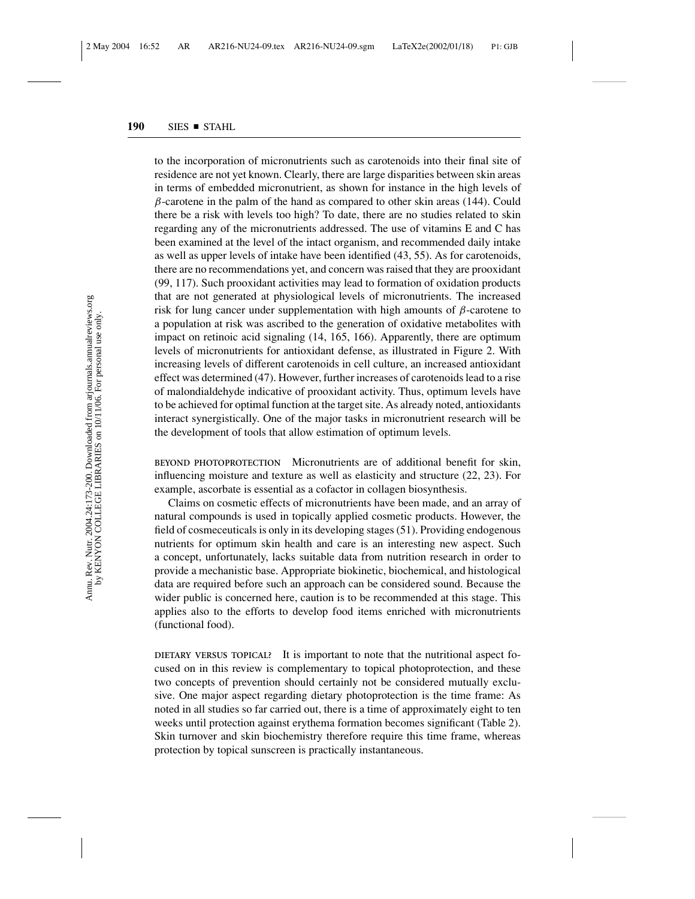to the incorporation of micronutrients such as carotenoids into their final site of residence are not yet known. Clearly, there are large disparities between skin areas in terms of embedded micronutrient, as shown for instance in the high levels of  $\beta$ -carotene in the palm of the hand as compared to other skin areas (144). Could there be a risk with levels too high? To date, there are no studies related to skin regarding any of the micronutrients addressed. The use of vitamins E and C has been examined at the level of the intact organism, and recommended daily intake as well as upper levels of intake have been identified (43, 55). As for carotenoids, there are no recommendations yet, and concern was raised that they are prooxidant (99, 117). Such prooxidant activities may lead to formation of oxidation products that are not generated at physiological levels of micronutrients. The increased risk for lung cancer under supplementation with high amounts of  $\beta$ -carotene to a population at risk was ascribed to the generation of oxidative metabolites with impact on retinoic acid signaling (14, 165, 166). Apparently, there are optimum levels of micronutrients for antioxidant defense, as illustrated in Figure 2. With increasing levels of different carotenoids in cell culture, an increased antioxidant effect was determined (47). However, further increases of carotenoids lead to a rise of malondialdehyde indicative of prooxidant activity. Thus, optimum levels have to be achieved for optimal function at the target site. As already noted, antioxidants interact synergistically. One of the major tasks in micronutrient research will be the development of tools that allow estimation of optimum levels.

**BEYOND PHOTOPROTECTION** Micronutrients are of additional benefit for skin, influencing moisture and texture as well as elasticity and structure (22, 23). For example, ascorbate is essential as a cofactor in collagen biosynthesis.

Claims on cosmetic effects of micronutrients have been made, and an array of natural compounds is used in topically applied cosmetic products. However, the field of cosmeceuticals is only in its developing stages (51). Providing endogenous nutrients for optimum skin health and care is an interesting new aspect. Such a concept, unfortunately, lacks suitable data from nutrition research in order to provide a mechanistic base. Appropriate biokinetic, biochemical, and histological data are required before such an approach can be considered sound. Because the wider public is concerned here, caution is to be recommended at this stage. This applies also to the efforts to develop food items enriched with micronutrients (functional food).

**DIETARY VERSUS TOPICAL?** It is important to note that the nutritional aspect focused on in this review is complementary to topical photoprotection, and these two concepts of prevention should certainly not be considered mutually exclusive. One major aspect regarding dietary photoprotection is the time frame: As noted in all studies so far carried out, there is a time of approximately eight to ten weeks until protection against erythema formation becomes significant (Table 2). Skin turnover and skin biochemistry therefore require this time frame, whereas protection by topical sunscreen is practically instantaneous.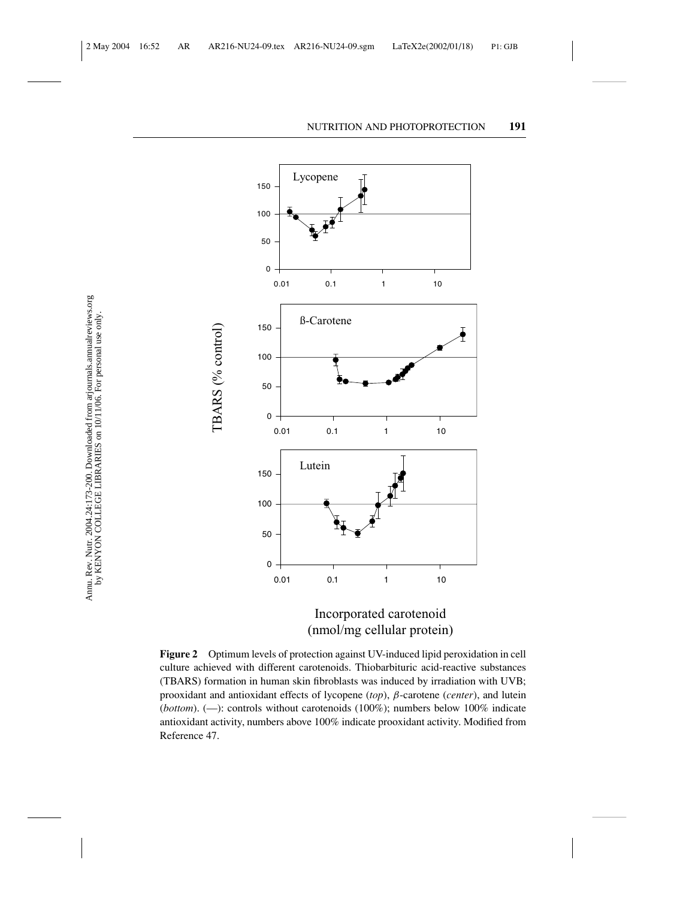

**Figure 2** Optimum levels of protection against UV-induced lipid peroxidation in cell culture achieved with different carotenoids. Thiobarbituric acid-reactive substances (TBARS) formation in human skin fibroblasts was induced by irradiation with UVB; prooxidant and antioxidant effects of lycopene (*top*), β-carotene (*center*), and lutein (*bottom*). (-): controls without carotenoids (100%); numbers below 100% indicate antioxidant activity, numbers above 100% indicate prooxidant activity. Modified from Reference 47.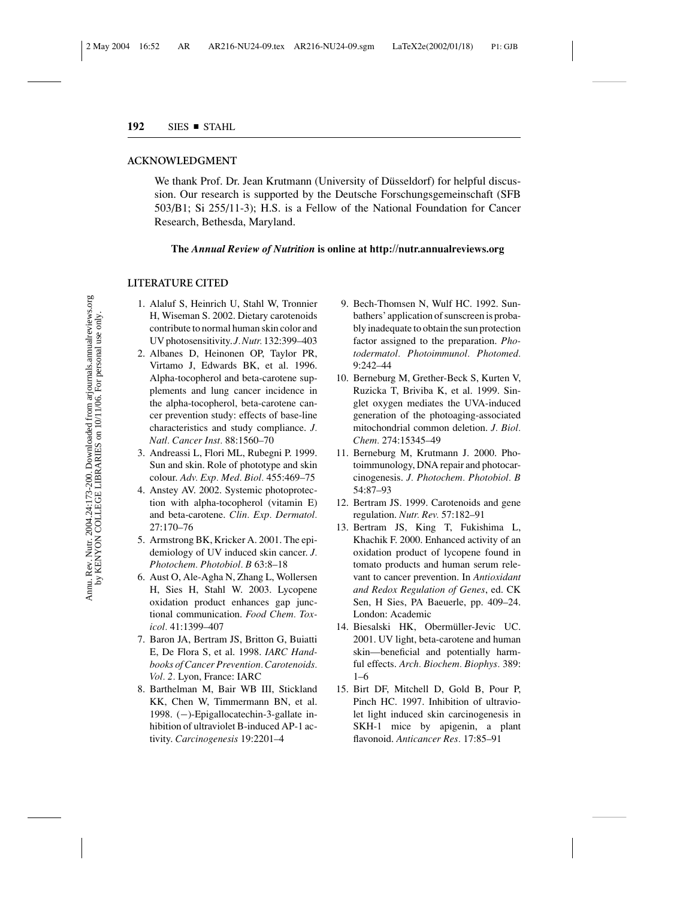#### **ACKNOWLEDGMENT**

We thank Prof. Dr. Jean Krutmann (University of Düsseldorf) for helpful discussion. Our research is supported by the Deutsche Forschungsgemeinschaft (SFB 503/B1; Si 255/11-3); H.S. is a Fellow of the National Foundation for Cancer Research, Bethesda, Maryland.

#### **The** *Annual Review of Nutrition* **is online at http://nutr.annualreviews.org**

#### **LITERATURE CITED**

- 1. Alaluf S, Heinrich U, Stahl W, Tronnier H, Wiseman S. 2002. Dietary carotenoids contribute to normal human skin color and UV photosensitivity. *J. Nutr.* 132:399–403
- 2. Albanes D, Heinonen OP, Taylor PR, Virtamo J, Edwards BK, et al. 1996. Alpha-tocopherol and beta-carotene supplements and lung cancer incidence in the alpha-tocopherol, beta-carotene cancer prevention study: effects of base-line characteristics and study compliance. *J. Natl. Cancer Inst.* 88:1560–70
- 3. Andreassi L, Flori ML, Rubegni P. 1999. Sun and skin. Role of phototype and skin colour. *Adv. Exp. Med. Biol.* 455:469–75
- 4. Anstey AV. 2002. Systemic photoprotection with alpha-tocopherol (vitamin E) and beta-carotene. *Clin. Exp. Dermatol.* 27:170–76
- 5. Armstrong BK, Kricker A. 2001. The epidemiology of UV induced skin cancer. *J. Photochem. Photobiol. B* 63:8–18
- 6. Aust O, Ale-Agha N, Zhang L, Wollersen H, Sies H, Stahl W. 2003. Lycopene oxidation product enhances gap junctional communication. *Food Chem. Toxicol.* 41:1399–407
- 7. Baron JA, Bertram JS, Britton G, Buiatti E, De Flora S, et al. 1998. *IARC Handbooks of Cancer Prevention. Carotenoids. Vol. 2.* Lyon, France: IARC
- 8. Barthelman M, Bair WB III, Stickland KK, Chen W, Timmermann BN, et al. 1998. (−)-Epigallocatechin-3-gallate inhibition of ultraviolet B-induced AP-1 activity. *Carcinogenesis* 19:2201–4
- 9. Bech-Thomsen N, Wulf HC. 1992. Sunbathers' application of sunscreen is probably inadequate to obtain the sun protection factor assigned to the preparation. *Photodermatol. Photoimmunol. Photomed.* 9:242–44
- 10. Berneburg M, Grether-Beck S, Kurten V, Ruzicka T, Briviba K, et al. 1999. Singlet oxygen mediates the UVA-induced generation of the photoaging-associated mitochondrial common deletion. *J. Biol. Chem.* 274:15345–49
- 11. Berneburg M, Krutmann J. 2000. Photoimmunology, DNA repair and photocarcinogenesis. *J. Photochem. Photobiol. B* 54:87–93
- 12. Bertram JS. 1999. Carotenoids and gene regulation. *Nutr. Rev.* 57:182–91
- 13. Bertram JS, King T, Fukishima L, Khachik F. 2000. Enhanced activity of an oxidation product of lycopene found in tomato products and human serum relevant to cancer prevention. In *Antioxidant and Redox Regulation of Genes*, ed. CK Sen, H Sies, PA Baeuerle, pp. 409–24. London: Academic
- 14. Biesalski HK, Obermüller-Jevic UC. 2001. UV light, beta-carotene and human skin—beneficial and potentially harmful effects. *Arch. Biochem. Biophys.* 389: 1–6
- 15. Birt DF, Mitchell D, Gold B, Pour P, Pinch HC. 1997. Inhibition of ultraviolet light induced skin carcinogenesis in SKH-1 mice by apigenin, a plant flavonoid. *Anticancer Res.* 17:85–91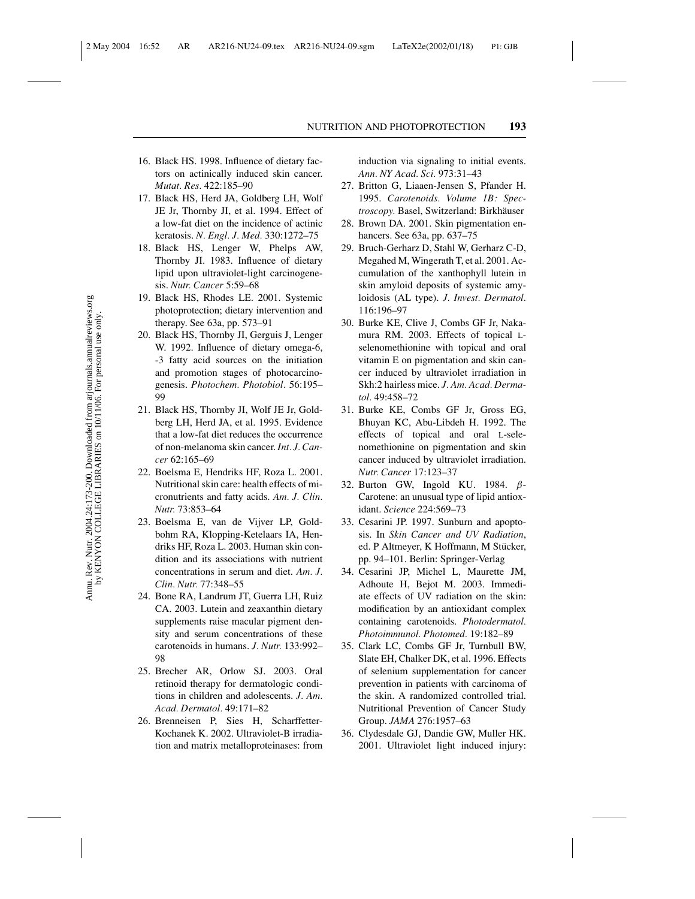- 16. Black HS. 1998. Influence of dietary factors on actinically induced skin cancer. *Mutat. Res.* 422:185–90
- 17. Black HS, Herd JA, Goldberg LH, Wolf JE Jr, Thornby JI, et al. 1994. Effect of a low-fat diet on the incidence of actinic keratosis. *N. Engl. J. Med.* 330:1272–75
- 18. Black HS, Lenger W, Phelps AW, Thornby JI. 1983. Influence of dietary lipid upon ultraviolet-light carcinogenesis. *Nutr. Cancer* 5:59–68
- 19. Black HS, Rhodes LE. 2001. Systemic photoprotection; dietary intervention and therapy. See 63a, pp. 573–91
- 20. Black HS, Thornby JI, Gerguis J, Lenger W. 1992. Influence of dietary omega-6, -3 fatty acid sources on the initiation and promotion stages of photocarcinogenesis. *Photochem. Photobiol.* 56:195– 99
- 21. Black HS, Thornby JI, Wolf JE Jr, Goldberg LH, Herd JA, et al. 1995. Evidence that a low-fat diet reduces the occurrence of non-melanoma skin cancer. *Int. J. Cancer* 62:165–69
- 22. Boelsma E, Hendriks HF, Roza L. 2001. Nutritional skin care: health effects of micronutrients and fatty acids. *Am. J. Clin. Nutr.* 73:853–64
- 23. Boelsma E, van de Vijver LP, Goldbohm RA, Klopping-Ketelaars IA, Hendriks HF, Roza L. 2003. Human skin condition and its associations with nutrient concentrations in serum and diet. *Am. J. Clin. Nutr.* 77:348–55
- 24. Bone RA, Landrum JT, Guerra LH, Ruiz CA. 2003. Lutein and zeaxanthin dietary supplements raise macular pigment density and serum concentrations of these carotenoids in humans. *J. Nutr.* 133:992– 98
- 25. Brecher AR, Orlow SJ. 2003. Oral retinoid therapy for dermatologic conditions in children and adolescents. *J. Am. Acad. Dermatol.* 49:171–82
- 26. Brenneisen P, Sies H, Scharffetter-Kochanek K. 2002. Ultraviolet-B irradiation and matrix metalloproteinases: from

induction via signaling to initial events. *Ann. NY Acad. Sci.* 973:31–43

- 27. Britton G, Liaaen-Jensen S, Pfander H. 1995. *Carotenoids. Volume 1B: Spec*troscopy. Basel, Switzerland: Birkhäuser
- 28. Brown DA. 2001. Skin pigmentation enhancers. See 63a, pp. 637–75
- 29. Bruch-Gerharz D, Stahl W, Gerharz C-D, Megahed M, Wingerath T, et al. 2001. Accumulation of the xanthophyll lutein in skin amyloid deposits of systemic amyloidosis (AL type). *J. Invest. Dermatol.* 116:196–97
- 30. Burke KE, Clive J, Combs GF Jr, Nakamura RM. 2003. Effects of topical Lselenomethionine with topical and oral vitamin E on pigmentation and skin cancer induced by ultraviolet irradiation in Skh:2 hairless mice. *J. Am. Acad. Dermatol.* 49:458–72
- 31. Burke KE, Combs GF Jr, Gross EG, Bhuyan KC, Abu-Libdeh H. 1992. The effects of topical and oral L-selenomethionine on pigmentation and skin cancer induced by ultraviolet irradiation. *Nutr. Cancer* 17:123–37
- 32. Burton GW, Ingold KU. 1984. β-Carotene: an unusual type of lipid antioxidant. *Science* 224:569–73
- 33. Cesarini JP. 1997. Sunburn and apoptosis. In *Skin Cancer and UV Radiation*, ed. P Altmeyer, K Hoffmann, M Stücker, pp. 94–101. Berlin: Springer-Verlag
- 34. Cesarini JP, Michel L, Maurette JM, Adhoute H, Bejot M. 2003. Immediate effects of UV radiation on the skin: modification by an antioxidant complex containing carotenoids. *Photodermatol. Photoimmunol. Photomed.* 19:182–89
- 35. Clark LC, Combs GF Jr, Turnbull BW, Slate EH, Chalker DK, et al. 1996. Effects of selenium supplementation for cancer prevention in patients with carcinoma of the skin. A randomized controlled trial. Nutritional Prevention of Cancer Study Group. *JAMA* 276:1957–63
- 36. Clydesdale GJ, Dandie GW, Muller HK. 2001. Ultraviolet light induced injury: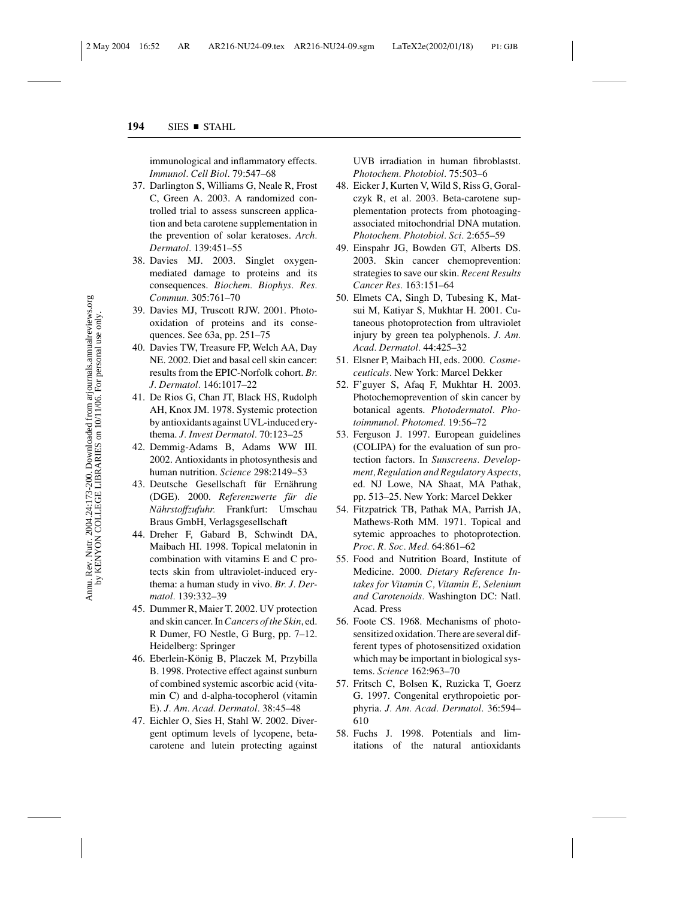immunological and inflammatory effects. *Immunol. Cell Biol.* 79:547–68

- 37. Darlington S, Williams G, Neale R, Frost C, Green A. 2003. A randomized controlled trial to assess sunscreen application and beta carotene supplementation in the prevention of solar keratoses. *Arch. Dermatol.* 139:451–55
- 38. Davies MJ. 2003. Singlet oxygenmediated damage to proteins and its consequences. *Biochem. Biophys. Res. Commun.* 305:761–70
- 39. Davies MJ, Truscott RJW. 2001. Photooxidation of proteins and its consequences. See 63a, pp. 251–75
- 40. Davies TW, Treasure FP, Welch AA, Day NE. 2002. Diet and basal cell skin cancer: results from the EPIC-Norfolk cohort. *Br. J. Dermatol.* 146:1017–22
- 41. De Rios G, Chan JT, Black HS, Rudolph AH, Knox JM. 1978. Systemic protection by antioxidants against UVL-induced erythema. *J. Invest Dermatol.* 70:123–25
- 42. Demmig-Adams B, Adams WW III. 2002. Antioxidants in photosynthesis and human nutrition. *Science* 298:2149–53
- 43. Deutsche Gesellschaft für Ernährung (DGE). 2000. *Referenzwerte für die Nahrstoffzufuhr. ¨* Frankfurt: Umschau Braus GmbH, Verlagsgesellschaft
- 44. Dreher F, Gabard B, Schwindt DA, Maibach HI. 1998. Topical melatonin in combination with vitamins E and C protects skin from ultraviolet-induced erythema: a human study in vivo. *Br. J. Dermatol.* 139:332–39
- 45. Dummer R, Maier T. 2002. UV protection and skin cancer. In*Cancers of the Skin*, ed. R Dumer, FO Nestle, G Burg, pp. 7–12. Heidelberg: Springer
- 46. Eberlein-König B, Placzek M, Przybilla B. 1998. Protective effect against sunburn of combined systemic ascorbic acid (vitamin C) and d-alpha-tocopherol (vitamin E). *J. Am. Acad. Dermatol.* 38:45–48
- 47. Eichler O, Sies H, Stahl W. 2002. Divergent optimum levels of lycopene, betacarotene and lutein protecting against

UVB irradiation in human fibroblastst. *Photochem. Photobiol.* 75:503–6

- 48. Eicker J, Kurten V, Wild S, Riss G, Goralczyk R, et al. 2003. Beta-carotene supplementation protects from photoagingassociated mitochondrial DNA mutation. *Photochem. Photobiol. Sci.* 2:655–59
- 49. Einspahr JG, Bowden GT, Alberts DS. 2003. Skin cancer chemoprevention: strategies to save our skin. *Recent Results Cancer Res.* 163:151–64
- 50. Elmets CA, Singh D, Tubesing K, Matsui M, Katiyar S, Mukhtar H. 2001. Cutaneous photoprotection from ultraviolet injury by green tea polyphenols. *J. Am. Acad. Dermatol.* 44:425–32
- 51. Elsner P, Maibach HI, eds. 2000. *Cosmeceuticals.* New York: Marcel Dekker
- 52. F'guyer S, Afaq F, Mukhtar H. 2003. Photochemoprevention of skin cancer by botanical agents. *Photodermatol. Photoimmunol. Photomed.* 19:56–72
- 53. Ferguson J. 1997. European guidelines (COLIPA) for the evaluation of sun protection factors. In *Sunscreens. Development, Regulation and Regulatory Aspects*, ed. NJ Lowe, NA Shaat, MA Pathak, pp. 513–25. New York: Marcel Dekker
- 54. Fitzpatrick TB, Pathak MA, Parrish JA, Mathews-Roth MM. 1971. Topical and sytemic approaches to photoprotection. *Proc. R. Soc. Med.* 64:861–62
- 55. Food and Nutrition Board, Institute of Medicine. 2000. *Dietary Reference Intakes for Vitamin C, Vitamin E, Selenium and Carotenoids.* Washington DC: Natl. Acad. Press
- 56. Foote CS. 1968. Mechanisms of photosensitized oxidation. There are several different types of photosensitized oxidation which may be important in biological systems. *Science* 162:963–70
- 57. Fritsch C, Bolsen K, Ruzicka T, Goerz G. 1997. Congenital erythropoietic porphyria. *J. Am. Acad. Dermatol.* 36:594– 610
- 58. Fuchs J. 1998. Potentials and limitations of the natural antioxidants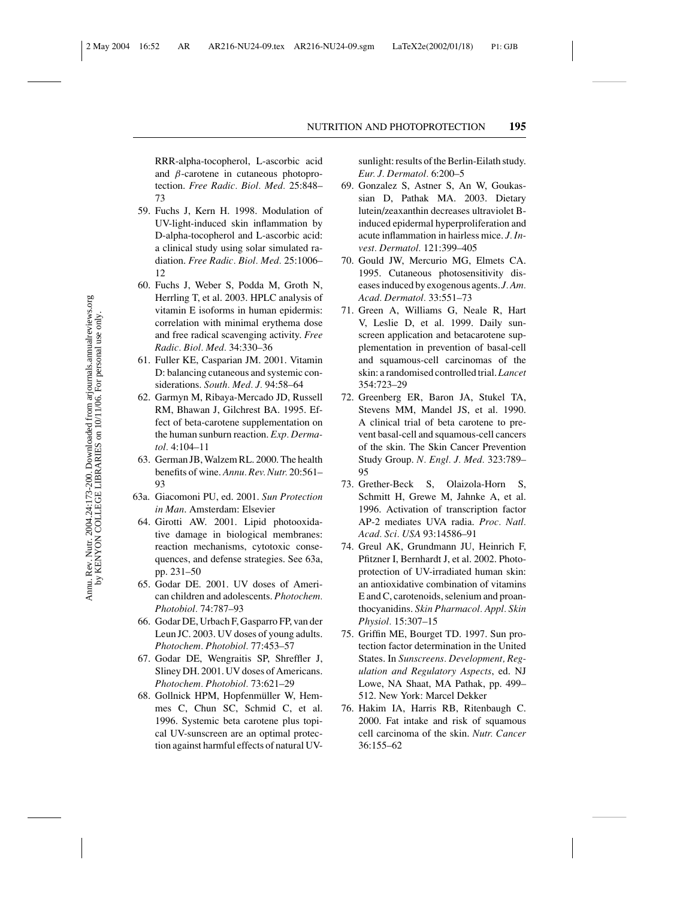RRR-alpha-tocopherol, L-ascorbic acid and β-carotene in cutaneous photoprotection. *Free Radic. Biol. Med.* 25:848– 73

- 59. Fuchs J, Kern H. 1998. Modulation of UV-light-induced skin inflammation by D-alpha-tocopherol and L-ascorbic acid: a clinical study using solar simulated radiation. *Free Radic. Biol. Med.* 25:1006– 12
- 60. Fuchs J, Weber S, Podda M, Groth N, Herrling T, et al. 2003. HPLC analysis of vitamin E isoforms in human epidermis: correlation with minimal erythema dose and free radical scavenging activity. *Free Radic. Biol. Med.* 34:330–36
- 61. Fuller KE, Casparian JM. 2001. Vitamin D: balancing cutaneous and systemic considerations. *South. Med. J.* 94:58–64
- 62. Garmyn M, Ribaya-Mercado JD, Russell RM, Bhawan J, Gilchrest BA. 1995. Effect of beta-carotene supplementation on the human sunburn reaction. *Exp. Dermatol.* 4:104–11
- 63. German JB, Walzem RL. 2000. The health benefits of wine. *Annu. Rev. Nutr.* 20:561– 93
- 63a. Giacomoni PU, ed. 2001. *Sun Protection in Man*. Amsterdam: Elsevier
- 64. Girotti AW. 2001. Lipid photooxidative damage in biological membranes: reaction mechanisms, cytotoxic consequences, and defense strategies. See 63a, pp. 231–50
- 65. Godar DE. 2001. UV doses of American children and adolescents. *Photochem. Photobiol.* 74:787–93
- 66. Godar DE, Urbach F, Gasparro FP, van der Leun JC. 2003. UV doses of young adults. *Photochem. Photobiol.* 77:453–57
- 67. Godar DE, Wengraitis SP, Shreffler J, Sliney DH. 2001. UV doses of Americans. *Photochem. Photobiol.* 73:621–29
- 68. Gollnick HPM, Hopfenmüller W, Hemmes C, Chun SC, Schmid C, et al. 1996. Systemic beta carotene plus topical UV-sunscreen are an optimal protection against harmful effects of natural UV-

sunlight: results of the Berlin-Eilath study. *Eur. J. Dermatol.* 6:200–5

- 69. Gonzalez S, Astner S, An W, Goukassian D, Pathak MA. 2003. Dietary lutein/zeaxanthin decreases ultraviolet Binduced epidermal hyperproliferation and acute inflammation in hairless mice. *J. Invest. Dermatol.* 121:399–405
- 70. Gould JW, Mercurio MG, Elmets CA. 1995. Cutaneous photosensitivity diseases induced by exogenous agents. *J. Am. Acad. Dermatol.* 33:551–73
- 71. Green A, Williams G, Neale R, Hart V, Leslie D, et al. 1999. Daily sunscreen application and betacarotene supplementation in prevention of basal-cell and squamous-cell carcinomas of the skin: a randomised controlled trial. *Lancet* 354:723–29
- 72. Greenberg ER, Baron JA, Stukel TA, Stevens MM, Mandel JS, et al. 1990. A clinical trial of beta carotene to prevent basal-cell and squamous-cell cancers of the skin. The Skin Cancer Prevention Study Group. *N. Engl. J. Med.* 323:789– 95
- 73. Grether-Beck S, Olaizola-Horn S, Schmitt H, Grewe M, Jahnke A, et al. 1996. Activation of transcription factor AP-2 mediates UVA radia. *Proc. Natl. Acad. Sci. USA* 93:14586–91
- 74. Greul AK, Grundmann JU, Heinrich F, Pfitzner I, Bernhardt J, et al. 2002. Photoprotection of UV-irradiated human skin: an antioxidative combination of vitamins E and C, carotenoids, selenium and proanthocyanidins. *Skin Pharmacol. Appl. Skin Physiol.* 15:307–15
- 75. Griffin ME, Bourget TD. 1997. Sun protection factor determination in the United States. In *Sunscreens. Development, Regulation and Regulatory Aspects*, ed. NJ Lowe, NA Shaat, MA Pathak, pp. 499– 512. New York: Marcel Dekker
- 76. Hakim IA, Harris RB, Ritenbaugh C. 2000. Fat intake and risk of squamous cell carcinoma of the skin. *Nutr. Cancer* 36:155–62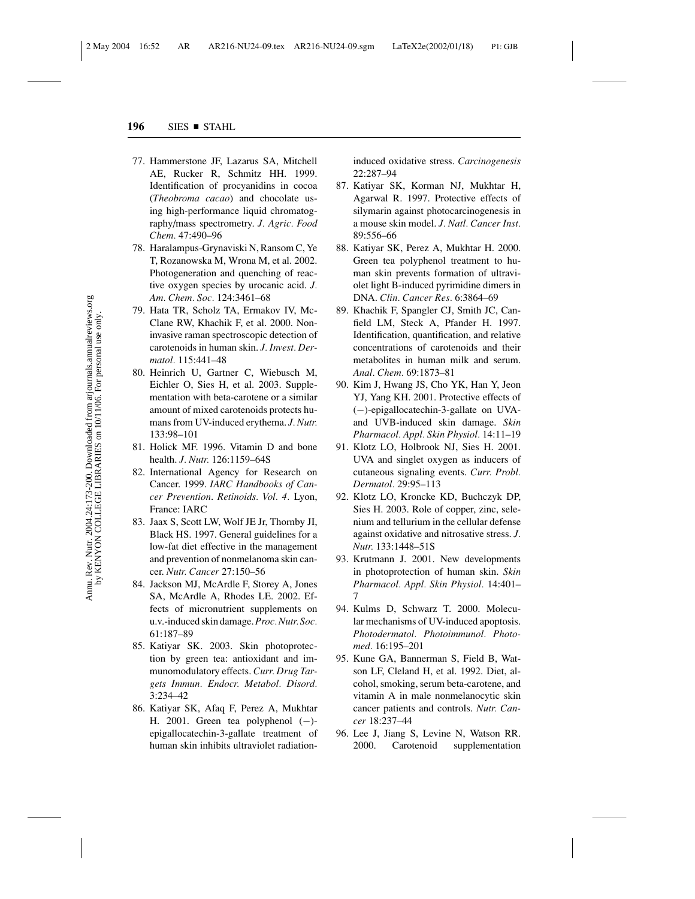- 77. Hammerstone JF, Lazarus SA, Mitchell AE, Rucker R, Schmitz HH. 1999. Identification of procyanidins in cocoa (*Theobroma cacao*) and chocolate using high-performance liquid chromatography/mass spectrometry. *J. Agric. Food Chem.* 47:490–96
- 78. Haralampus-Grynaviski N, Ransom C, Ye T, Rozanowska M, Wrona M, et al. 2002. Photogeneration and quenching of reactive oxygen species by urocanic acid. *J. Am. Chem. Soc.* 124:3461–68
- 79. Hata TR, Scholz TA, Ermakov IV, Mc-Clane RW, Khachik F, et al. 2000. Noninvasive raman spectroscopic detection of carotenoids in human skin. *J. Invest. Dermatol.* 115:441–48
- 80. Heinrich U, Gartner C, Wiebusch M, Eichler O, Sies H, et al. 2003. Supplementation with beta-carotene or a similar amount of mixed carotenoids protects humans from UV-induced erythema. *J. Nutr.* 133:98–101
- 81. Holick MF. 1996. Vitamin D and bone health. *J. Nutr.* 126:1159–64S
- 82. International Agency for Research on Cancer. 1999. *IARC Handbooks of Cancer Prevention*. *Retinoids. Vol. 4.* Lyon, France: IARC
- 83. Jaax S, Scott LW, Wolf JE Jr, Thornby JI, Black HS. 1997. General guidelines for a low-fat diet effective in the management and prevention of nonmelanoma skin cancer. *Nutr. Cancer* 27:150–56
- 84. Jackson MJ, McArdle F, Storey A, Jones SA, McArdle A, Rhodes LE. 2002. Effects of micronutrient supplements on u.v.-induced skin damage.*Proc. Nutr. Soc.* 61:187–89
- 85. Katiyar SK. 2003. Skin photoprotection by green tea: antioxidant and immunomodulatory effects. *Curr. Drug Targets Immun. Endocr. Metabol. Disord.* 3:234–42
- 86. Katiyar SK, Afaq F, Perez A, Mukhtar H. 2001. Green tea polyphenol (−) epigallocatechin-3-gallate treatment of human skin inhibits ultraviolet radiation-

induced oxidative stress. *Carcinogenesis* 22:287–94

- 87. Katiyar SK, Korman NJ, Mukhtar H, Agarwal R. 1997. Protective effects of silymarin against photocarcinogenesis in a mouse skin model. *J. Natl. Cancer Inst.* 89:556–66
- 88. Katiyar SK, Perez A, Mukhtar H. 2000. Green tea polyphenol treatment to human skin prevents formation of ultraviolet light B-induced pyrimidine dimers in DNA. *Clin. Cancer Res.* 6:3864–69
- 89. Khachik F, Spangler CJ, Smith JC, Canfield LM, Steck A, Pfander H. 1997. Identification, quantification, and relative concentrations of carotenoids and their metabolites in human milk and serum. *Anal. Chem.* 69:1873–81
- 90. Kim J, Hwang JS, Cho YK, Han Y, Jeon YJ, Yang KH. 2001. Protective effects of (−)-epigallocatechin-3-gallate on UVAand UVB-induced skin damage. *Skin Pharmacol. Appl. Skin Physiol.* 14:11–19
- 91. Klotz LO, Holbrook NJ, Sies H. 2001. UVA and singlet oxygen as inducers of cutaneous signaling events. *Curr. Probl. Dermatol.* 29:95–113
- 92. Klotz LO, Kroncke KD, Buchczyk DP, Sies H. 2003. Role of copper, zinc, selenium and tellurium in the cellular defense against oxidative and nitrosative stress. *J. Nutr.* 133:1448–51S
- 93. Krutmann J. 2001. New developments in photoprotection of human skin. *Skin Pharmacol. Appl. Skin Physiol.* 14:401– 7
- 94. Kulms D, Schwarz T. 2000. Molecular mechanisms of UV-induced apoptosis. *Photodermatol. Photoimmunol. Photomed.* 16:195–201
- 95. Kune GA, Bannerman S, Field B, Watson LF, Cleland H, et al. 1992. Diet, alcohol, smoking, serum beta-carotene, and vitamin A in male nonmelanocytic skin cancer patients and controls. *Nutr. Cancer* 18:237–44
- 96. Lee J, Jiang S, Levine N, Watson RR. 2000. Carotenoid supplementation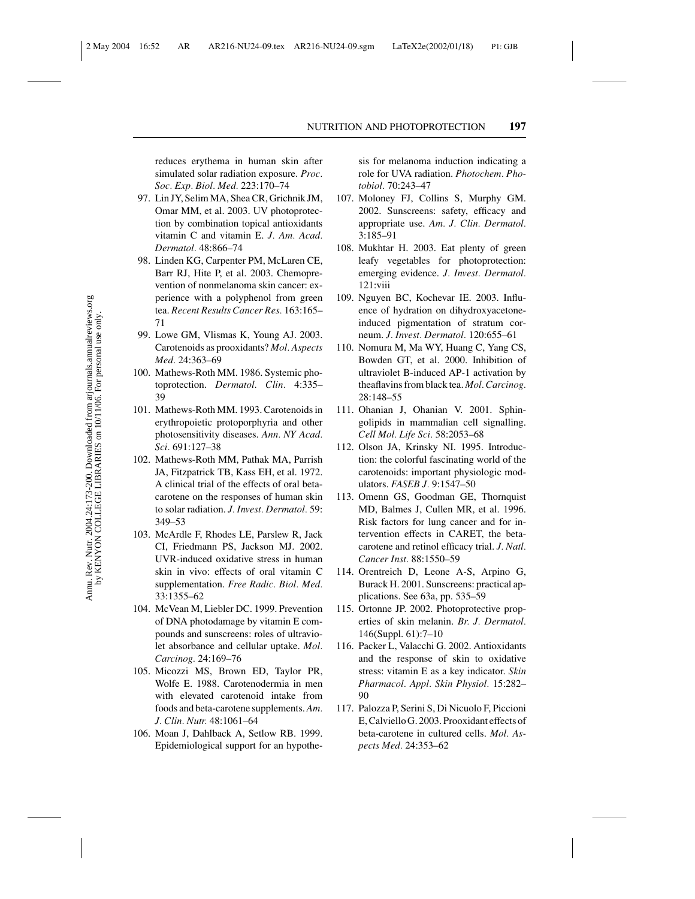reduces erythema in human skin after simulated solar radiation exposure. *Proc. Soc. Exp. Biol. Med.* 223:170–74

- 97. Lin JY, Selim MA, Shea CR, Grichnik JM, Omar MM, et al. 2003. UV photoprotection by combination topical antioxidants vitamin C and vitamin E. *J. Am. Acad. Dermatol.* 48:866–74
- 98. Linden KG, Carpenter PM, McLaren CE, Barr RJ, Hite P, et al. 2003. Chemoprevention of nonmelanoma skin cancer: experience with a polyphenol from green tea. *Recent Results Cancer Res.* 163:165– 71
- 99. Lowe GM, Vlismas K, Young AJ. 2003. Carotenoids as prooxidants? *Mol. Aspects Med.* 24:363–69
- 100. Mathews-Roth MM. 1986. Systemic photoprotection. *Dermatol. Clin.* 4:335– 39
- 101. Mathews-Roth MM. 1993. Carotenoids in erythropoietic protoporphyria and other photosensitivity diseases. *Ann. NY Acad. Sci.* 691:127–38
- 102. Mathews-Roth MM, Pathak MA, Parrish JA, Fitzpatrick TB, Kass EH, et al. 1972. A clinical trial of the effects of oral betacarotene on the responses of human skin to solar radiation. *J. Invest. Dermatol.* 59: 349–53
- 103. McArdle F, Rhodes LE, Parslew R, Jack CI, Friedmann PS, Jackson MJ. 2002. UVR-induced oxidative stress in human skin in vivo: effects of oral vitamin C supplementation. *Free Radic. Biol. Med.* 33:1355–62
- 104. McVean M, Liebler DC. 1999. Prevention of DNA photodamage by vitamin E compounds and sunscreens: roles of ultraviolet absorbance and cellular uptake. *Mol. Carcinog.* 24:169–76
- 105. Micozzi MS, Brown ED, Taylor PR, Wolfe E. 1988. Carotenodermia in men with elevated carotenoid intake from foods and beta-carotene supplements.*Am. J. Clin. Nutr.* 48:1061–64
- 106. Moan J, Dahlback A, Setlow RB. 1999. Epidemiological support for an hypothe-

sis for melanoma induction indicating a role for UVA radiation. *Photochem. Photobiol.* 70:243–47

- 107. Moloney FJ, Collins S, Murphy GM. 2002. Sunscreens: safety, efficacy and appropriate use. *Am. J. Clin. Dermatol.* 3:185–91
- 108. Mukhtar H. 2003. Eat plenty of green leafy vegetables for photoprotection: emerging evidence. *J. Invest. Dermatol.* 121:viii
- 109. Nguyen BC, Kochevar IE. 2003. Influence of hydration on dihydroxyacetoneinduced pigmentation of stratum corneum. *J. Invest. Dermatol.* 120:655–61
- 110. Nomura M, Ma WY, Huang C, Yang CS, Bowden GT, et al. 2000. Inhibition of ultraviolet B-induced AP-1 activation by theaflavins from black tea. *Mol. Carcinog.* 28:148–55
- 111. Ohanian J, Ohanian V. 2001. Sphingolipids in mammalian cell signalling. *Cell Mol. Life Sci.* 58:2053–68
- 112. Olson JA, Krinsky NI. 1995. Introduction: the colorful fascinating world of the carotenoids: important physiologic modulators. *FASEB J.* 9:1547–50
- 113. Omenn GS, Goodman GE, Thornquist MD, Balmes J, Cullen MR, et al. 1996. Risk factors for lung cancer and for intervention effects in CARET, the betacarotene and retinol efficacy trial. *J. Natl. Cancer Inst.* 88:1550–59
- 114. Orentreich D, Leone A-S, Arpino G, Burack H. 2001. Sunscreens: practical applications. See 63a, pp. 535–59
- 115. Ortonne JP. 2002. Photoprotective properties of skin melanin. *Br. J. Dermatol.* 146(Suppl. 61):7–10
- 116. Packer L, Valacchi G. 2002. Antioxidants and the response of skin to oxidative stress: vitamin E as a key indicator. *Skin Pharmacol. Appl. Skin Physiol.* 15:282– 90
- 117. Palozza P, Serini S, Di Nicuolo F, Piccioni E, Calviello G. 2003. Prooxidant effects of beta-carotene in cultured cells. *Mol. Aspects Med.* 24:353–62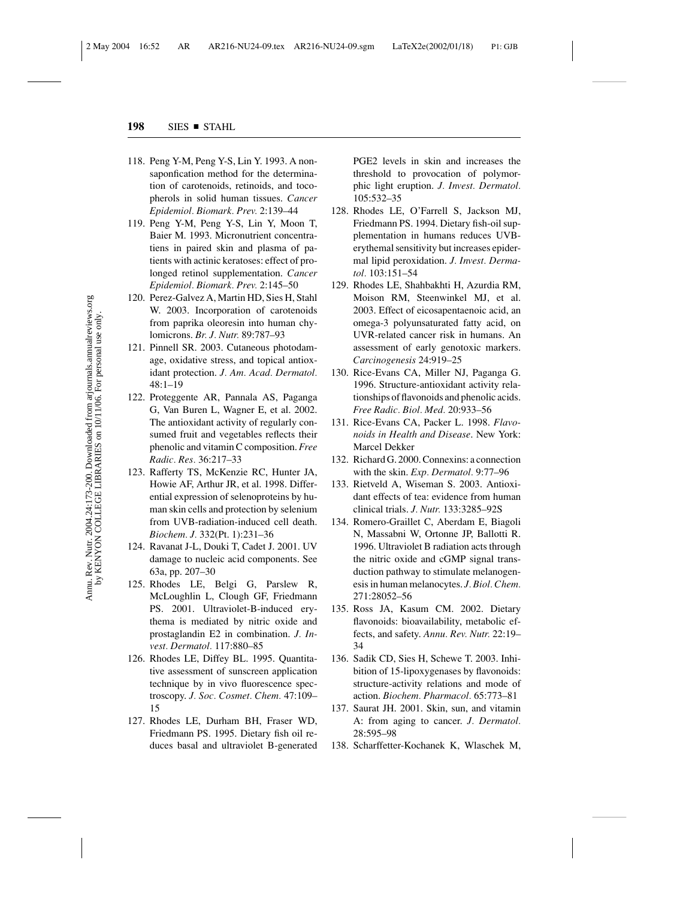- 118. Peng Y-M, Peng Y-S, Lin Y. 1993. A nonsaponfication method for the determination of carotenoids, retinoids, and tocopherols in solid human tissues. *Cancer Epidemiol. Biomark. Prev.* 2:139–44
- 119. Peng Y-M, Peng Y-S, Lin Y, Moon T, Baier M. 1993. Micronutrient concentratiens in paired skin and plasma of patients with actinic keratoses: effect of prolonged retinol supplementation. *Cancer Epidemiol. Biomark. Prev.* 2:145–50
- 120. Perez-Galvez A, Martin HD, Sies H, Stahl W. 2003. Incorporation of carotenoids from paprika oleoresin into human chylomicrons. *Br. J. Nutr.* 89:787–93
- 121. Pinnell SR. 2003. Cutaneous photodamage, oxidative stress, and topical antioxidant protection. *J. Am. Acad. Dermatol.* 48:1–19
- 122. Proteggente AR, Pannala AS, Paganga G, Van Buren L, Wagner E, et al. 2002. The antioxidant activity of regularly consumed fruit and vegetables reflects their phenolic and vitamin C composition. *Free Radic. Res.* 36:217–33
- 123. Rafferty TS, McKenzie RC, Hunter JA, Howie AF, Arthur JR, et al. 1998. Differential expression of selenoproteins by human skin cells and protection by selenium from UVB-radiation-induced cell death. *Biochem. J.* 332(Pt. 1):231–36
- 124. Ravanat J-L, Douki T, Cadet J. 2001. UV damage to nucleic acid components. See 63a, pp. 207–30
- 125. Rhodes LE, Belgi G, Parslew R, McLoughlin L, Clough GF, Friedmann PS. 2001. Ultraviolet-B-induced erythema is mediated by nitric oxide and prostaglandin E2 in combination. *J. Invest. Dermatol.* 117:880–85
- 126. Rhodes LE, Diffey BL. 1995. Quantitative assessment of sunscreen application technique by in vivo fluorescence spectroscopy. *J. Soc. Cosmet. Chem.* 47:109– 15
- 127. Rhodes LE, Durham BH, Fraser WD, Friedmann PS. 1995. Dietary fish oil reduces basal and ultraviolet B-generated

PGE2 levels in skin and increases the threshold to provocation of polymorphic light eruption. *J. Invest. Dermatol.* 105:532–35

- 128. Rhodes LE, O'Farrell S, Jackson MJ, Friedmann PS. 1994. Dietary fish-oil supplementation in humans reduces UVBerythemal sensitivity but increases epidermal lipid peroxidation. *J. Invest. Dermatol.* 103:151–54
- 129. Rhodes LE, Shahbakhti H, Azurdia RM, Moison RM, Steenwinkel MJ, et al. 2003. Effect of eicosapentaenoic acid, an omega-3 polyunsaturated fatty acid, on UVR-related cancer risk in humans. An assessment of early genotoxic markers. *Carcinogenesis* 24:919–25
- 130. Rice-Evans CA, Miller NJ, Paganga G. 1996. Structure-antioxidant activity relationships of flavonoids and phenolic acids. *Free Radic. Biol. Med.* 20:933–56
- 131. Rice-Evans CA, Packer L. 1998. *Flavonoids in Health and Disease*. New York: Marcel Dekker
- 132. Richard G. 2000. Connexins: a connection with the skin. *Exp. Dermatol.* 9:77–96
- 133. Rietveld A, Wiseman S. 2003. Antioxidant effects of tea: evidence from human clinical trials. *J. Nutr.* 133:3285–92S
- 134. Romero-Graillet C, Aberdam E, Biagoli N, Massabni W, Ortonne JP, Ballotti R. 1996. Ultraviolet B radiation acts through the nitric oxide and cGMP signal transduction pathway to stimulate melanogenesis in human melanocytes. *J. Biol. Chem.* 271:28052–56
- 135. Ross JA, Kasum CM. 2002. Dietary flavonoids: bioavailability, metabolic effects, and safety. *Annu. Rev. Nutr.* 22:19– 34
- 136. Sadik CD, Sies H, Schewe T. 2003. Inhibition of 15-lipoxygenases by flavonoids: structure-activity relations and mode of action. *Biochem. Pharmacol.* 65:773–81
- 137. Saurat JH. 2001. Skin, sun, and vitamin A: from aging to cancer. *J. Dermatol.* 28:595–98
- 138. Scharffetter-Kochanek K, Wlaschek M,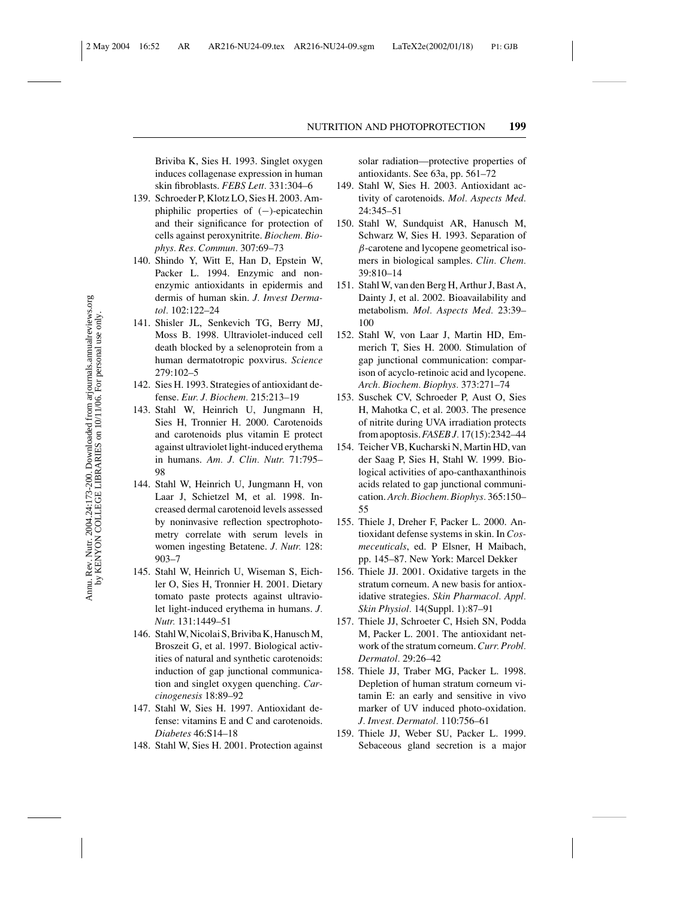Briviba K, Sies H. 1993. Singlet oxygen induces collagenase expression in human skin fibroblasts. *FEBS Lett.* 331:304–6

- 139. Schroeder P, Klotz LO, Sies H. 2003. Amphiphilic properties of (−)-epicatechin and their significance for protection of cells against peroxynitrite. *Biochem. Biophys. Res. Commun.* 307:69–73
- 140. Shindo Y, Witt E, Han D, Epstein W, Packer L. 1994. Enzymic and nonenzymic antioxidants in epidermis and dermis of human skin. *J. Invest Dermatol.* 102:122–24
- 141. Shisler JL, Senkevich TG, Berry MJ, Moss B. 1998. Ultraviolet-induced cell death blocked by a selenoprotein from a human dermatotropic poxvirus. *Science* 279:102–5
- 142. Sies H. 1993. Strategies of antioxidant defense. *Eur. J. Biochem.* 215:213–19
- 143. Stahl W, Heinrich U, Jungmann H, Sies H, Tronnier H. 2000. Carotenoids and carotenoids plus vitamin E protect against ultraviolet light-induced erythema in humans. *Am. J. Clin. Nutr.* 71:795– 98
- 144. Stahl W, Heinrich U, Jungmann H, von Laar J, Schietzel M, et al. 1998. Increased dermal carotenoid levels assessed by noninvasive reflection spectrophotometry correlate with serum levels in women ingesting Betatene. *J. Nutr.* 128: 903–7
- 145. Stahl W, Heinrich U, Wiseman S, Eichler O, Sies H, Tronnier H. 2001. Dietary tomato paste protects against ultraviolet light-induced erythema in humans. *J. Nutr.* 131:1449–51
- 146. Stahl W, Nicolai S, Briviba K, Hanusch M, Broszeit G, et al. 1997. Biological activities of natural and synthetic carotenoids: induction of gap junctional communication and singlet oxygen quenching. *Carcinogenesis* 18:89–92
- 147. Stahl W, Sies H. 1997. Antioxidant defense: vitamins E and C and carotenoids. *Diabetes* 46:S14–18
- 148. Stahl W, Sies H. 2001. Protection against

solar radiation—protective properties of antioxidants. See 63a, pp. 561–72

- 149. Stahl W, Sies H. 2003. Antioxidant activity of carotenoids. *Mol. Aspects Med.* 24:345–51
- 150. Stahl W, Sundquist AR, Hanusch M, Schwarz W, Sies H. 1993. Separation of  $\beta$ -carotene and lycopene geometrical isomers in biological samples. *Clin. Chem.* 39:810–14
- 151. Stahl W, van den Berg H, Arthur J, Bast A, Dainty J, et al. 2002. Bioavailability and metabolism. *Mol. Aspects Med.* 23:39– 100
- 152. Stahl W, von Laar J, Martin HD, Emmerich T, Sies H. 2000. Stimulation of gap junctional communication: comparison of acyclo-retinoic acid and lycopene. *Arch. Biochem. Biophys.* 373:271–74
- 153. Suschek CV, Schroeder P, Aust O, Sies H, Mahotka C, et al. 2003. The presence of nitrite during UVA irradiation protects from apoptosis.*FASEB J.* 17(15):2342–44
- 154. Teicher VB, Kucharski N, Martin HD, van der Saag P, Sies H, Stahl W. 1999. Biological activities of apo-canthaxanthinois acids related to gap junctional communication. *Arch. Biochem. Biophys.* 365:150– 55
- 155. Thiele J, Dreher F, Packer L. 2000. Antioxidant defense systems in skin. In *Cosmeceuticals*, ed. P Elsner, H Maibach, pp. 145–87. New York: Marcel Dekker
- 156. Thiele JJ. 2001. Oxidative targets in the stratum corneum. A new basis for antioxidative strategies. *Skin Pharmacol. Appl. Skin Physiol.* 14(Suppl. 1):87–91
- 157. Thiele JJ, Schroeter C, Hsieh SN, Podda M, Packer L. 2001. The antioxidant network of the stratum corneum. *Curr. Probl. Dermatol.* 29:26–42
- 158. Thiele JJ, Traber MG, Packer L. 1998. Depletion of human stratum corneum vitamin E: an early and sensitive in vivo marker of UV induced photo-oxidation. *J. Invest. Dermatol.* 110:756–61
- 159. Thiele JJ, Weber SU, Packer L. 1999. Sebaceous gland secretion is a major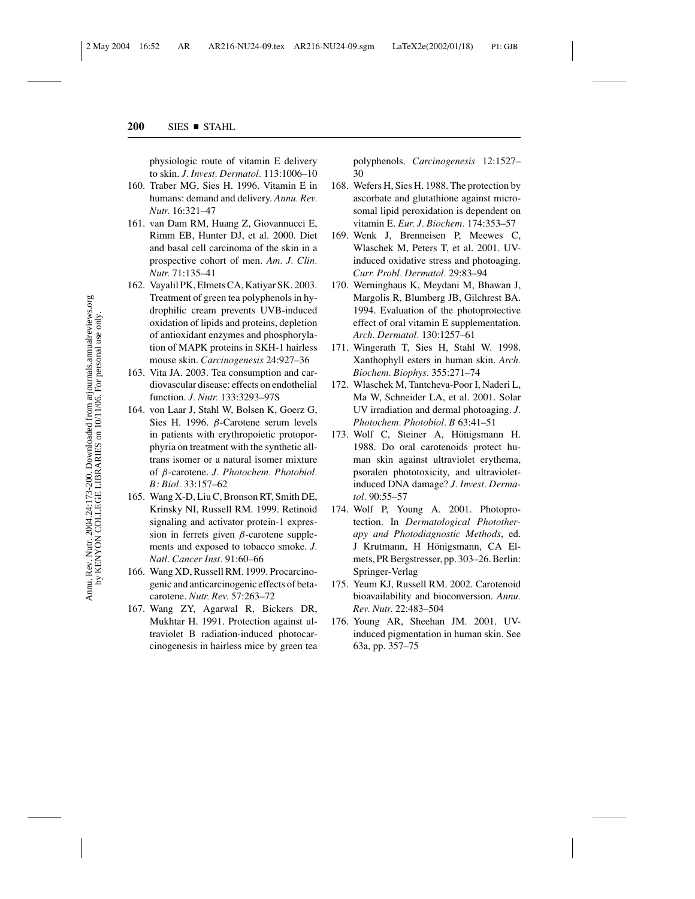physiologic route of vitamin E delivery to skin. *J. Invest. Dermatol.* 113:1006–10

- 160. Traber MG, Sies H. 1996. Vitamin E in humans: demand and delivery. *Annu. Rev. Nutr.* 16:321–47
- 161. van Dam RM, Huang Z, Giovannucci E, Rimm EB, Hunter DJ, et al. 2000. Diet and basal cell carcinoma of the skin in a prospective cohort of men. *Am. J. Clin. Nutr.* 71:135–41
- 162. Vayalil PK, Elmets CA, Katiyar SK. 2003. Treatment of green tea polyphenols in hydrophilic cream prevents UVB-induced oxidation of lipids and proteins, depletion of antioxidant enzymes and phosphorylation of MAPK proteins in SKH-1 hairless mouse skin. *Carcinogenesis* 24:927–36
- 163. Vita JA. 2003. Tea consumption and cardiovascular disease: effects on endothelial function. *J. Nutr.* 133:3293–97S
- 164. von Laar J, Stahl W, Bolsen K, Goerz G, Sies H. 1996. β-Carotene serum levels in patients with erythropoietic protoporphyria on treatment with the synthetic alltrans isomer or a natural isomer mixture of β-carotene. *J. Photochem. Photobiol. B: Biol.* 33:157–62
- 165. Wang X-D, Liu C, Bronson RT, Smith DE, Krinsky NI, Russell RM. 1999. Retinoid signaling and activator protein-1 expression in ferrets given  $\beta$ -carotene supplements and exposed to tobacco smoke. *J. Natl. Cancer Inst.* 91:60–66
- 166. Wang XD, Russell RM. 1999. Procarcinogenic and anticarcinogenic effects of betacarotene. *Nutr. Rev.* 57:263–72
- 167. Wang ZY, Agarwal R, Bickers DR, Mukhtar H. 1991. Protection against ultraviolet B radiation-induced photocarcinogenesis in hairless mice by green tea

polyphenols. *Carcinogenesis* 12:1527– 30

- 168. Wefers H, Sies H. 1988. The protection by ascorbate and glutathione against microsomal lipid peroxidation is dependent on vitamin E. *Eur. J. Biochem.* 174:353–57
- 169. Wenk J, Brenneisen P, Meewes C, Wlaschek M, Peters T, et al. 2001. UVinduced oxidative stress and photoaging. *Curr. Probl. Dermatol.* 29:83–94
- 170. Werninghaus K, Meydani M, Bhawan J, Margolis R, Blumberg JB, Gilchrest BA. 1994. Evaluation of the photoprotective effect of oral vitamin E supplementation. *Arch. Dermatol.* 130:1257–61
- 171. Wingerath T, Sies H, Stahl W. 1998. Xanthophyll esters in human skin. *Arch. Biochem. Biophys.* 355:271–74
- 172. Wlaschek M, Tantcheva-Poor I, Naderi L, Ma W, Schneider LA, et al. 2001. Solar UV irradiation and dermal photoaging. *J. Photochem. Photobiol. B* 63:41–51
- 173. Wolf C, Steiner A, Hönigsmann H. 1988. Do oral carotenoids protect human skin against ultraviolet erythema, psoralen phototoxicity, and ultravioletinduced DNA damage? *J. Invest. Dermatol.* 90:55–57
- 174. Wolf P, Young A. 2001. Photoprotection. In *Dermatological Phototherapy and Photodiagnostic Methods*, ed. J Krutmann, H Hönigsmann, CA Elmets, PR Bergstresser, pp. 303–26. Berlin: Springer-Verlag
- 175. Yeum KJ, Russell RM. 2002. Carotenoid bioavailability and bioconversion. *Annu. Rev. Nutr.* 22:483–504
- 176. Young AR, Sheehan JM. 2001. UVinduced pigmentation in human skin. See 63a, pp. 357–75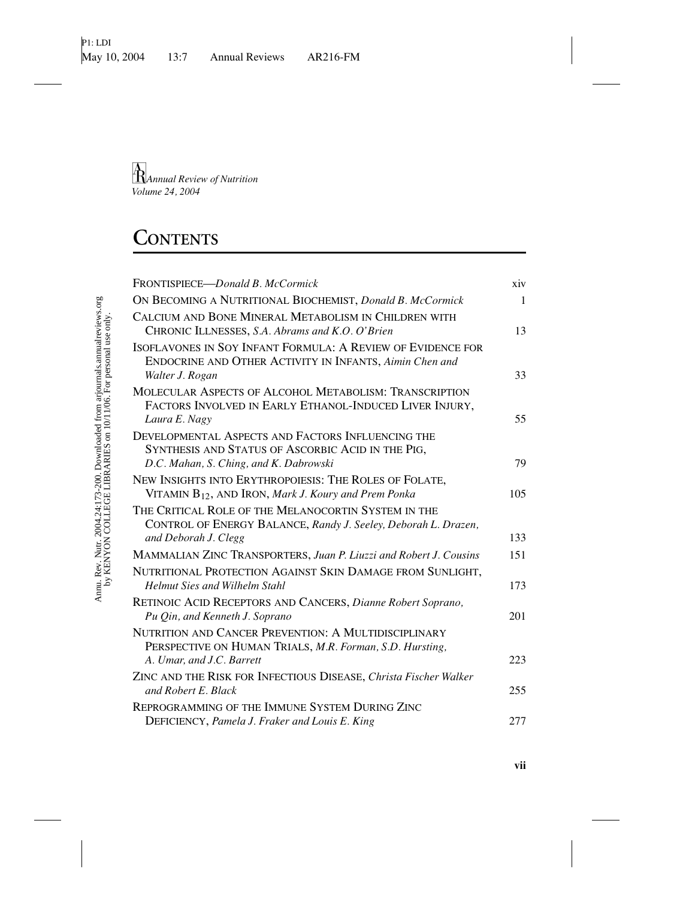# **CONTENTS**

| FRONTISPIECE-Donald B. McCormick                                                                                                                 | xiv          |
|--------------------------------------------------------------------------------------------------------------------------------------------------|--------------|
| ON BECOMING A NUTRITIONAL BIOCHEMIST, Donald B. McCormick                                                                                        | $\mathbf{1}$ |
| CALCIUM AND BONE MINERAL METABOLISM IN CHILDREN WITH<br>CHRONIC ILLNESSES, S.A. Abrams and K.O. O'Brien                                          | 13           |
| ISOFLAVONES IN SOY INFANT FORMULA: A REVIEW OF EVIDENCE FOR<br>ENDOCRINE AND OTHER ACTIVITY IN INFANTS, Aimin Chen and<br>Walter J. Rogan        | 33           |
| MOLECULAR ASPECTS OF ALCOHOL METABOLISM: TRANSCRIPTION<br>FACTORS INVOLVED IN EARLY ETHANOL-INDUCED LIVER INJURY,<br>Laura E. Nagy               | 55           |
| DEVELOPMENTAL ASPECTS AND FACTORS INFLUENCING THE<br>SYNTHESIS AND STATUS OF ASCORBIC ACID IN THE PIG,<br>D.C. Mahan, S. Ching, and K. Dabrowski | 79           |
| NEW INSIGHTS INTO ERYTHROPOIESIS: THE ROLES OF FOLATE,<br>VITAMIN B <sub>12</sub> , AND IRON, Mark J. Koury and Prem Ponka                       | 105          |
| THE CRITICAL ROLE OF THE MELANOCORTIN SYSTEM IN THE<br>CONTROL OF ENERGY BALANCE, Randy J. Seeley, Deborah L. Drazen,<br>and Deborah J. Clegg    | 133          |
| MAMMALIAN ZINC TRANSPORTERS, Juan P. Liuzzi and Robert J. Cousins                                                                                | 151          |
| NUTRITIONAL PROTECTION AGAINST SKIN DAMAGE FROM SUNLIGHT,<br><b>Helmut Sies and Wilhelm Stahl</b>                                                | 173          |
| RETINOIC ACID RECEPTORS AND CANCERS, Dianne Robert Soprano,<br>Pu Qin, and Kenneth J. Soprano                                                    | 201          |
| NUTRITION AND CANCER PREVENTION: A MULTIDISCIPLINARY<br>PERSPECTIVE ON HUMAN TRIALS, M.R. Forman, S.D. Hursting,                                 |              |
| A. Umar, and J.C. Barrett                                                                                                                        | 223          |
| ZINC AND THE RISK FOR INFECTIOUS DISEASE, Christa Fischer Walker<br>and Robert E. Black                                                          | 255          |
| REPROGRAMMING OF THE IMMUNE SYSTEM DURING ZINC<br>DEFICIENCY, Pamela J. Fraker and Louis E. King                                                 | 277          |